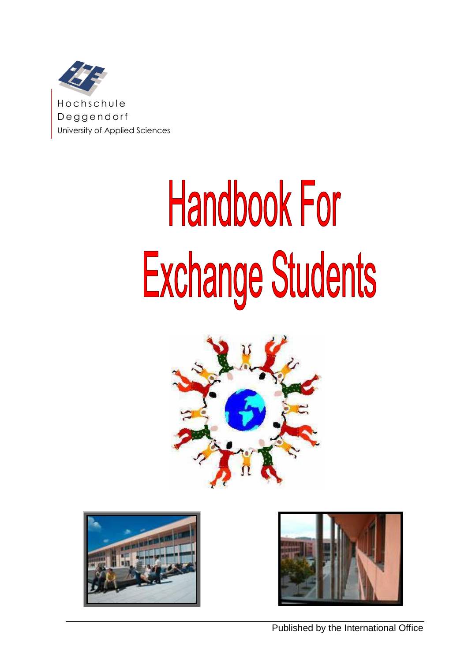

# **Handbook For** Exchange Students





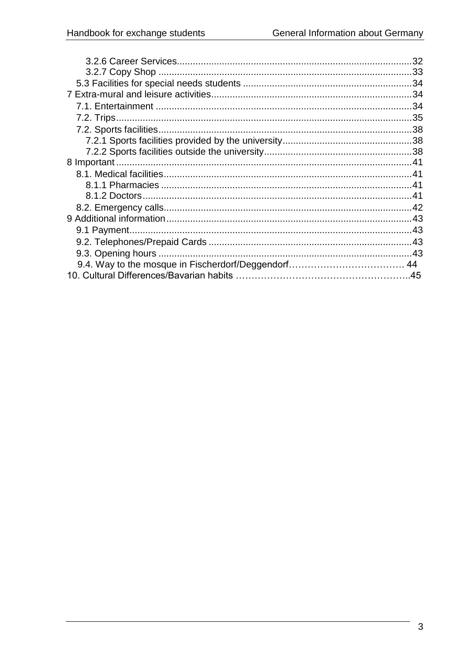| 32 |
|----|
|    |
|    |
|    |
|    |
|    |
|    |
|    |
|    |
|    |
|    |
|    |
|    |
|    |
|    |
|    |
|    |
|    |
|    |
|    |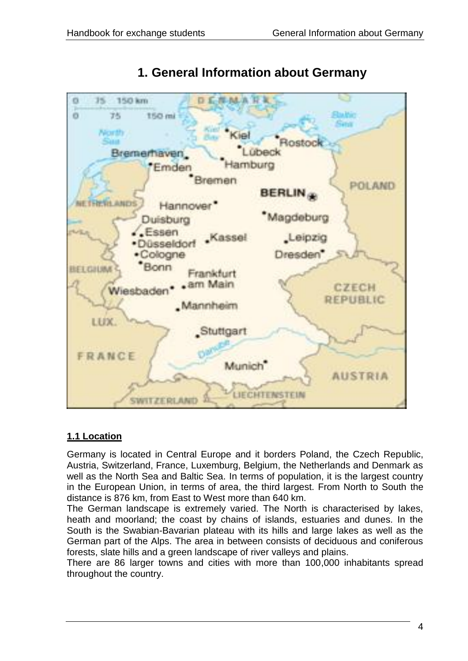<span id="page-3-0"></span>

# **1. General Information about Germany**

#### <span id="page-3-1"></span>**1.1 Location**

Germany is located in Central Europe and it borders Poland, the Czech Republic, Austria, Switzerland, France, Luxemburg, Belgium, the Netherlands and Denmark as well as the North Sea and Baltic Sea. In terms of population, it is the largest country in the European Union, in terms of area, the third largest. From North to South the distance is 876 km, from East to West more than 640 km.

The German landscape is extremely varied. The North is characterised by lakes, heath and moorland; the coast by chains of islands, estuaries and dunes. In the South is the Swabian-Bavarian plateau with its hills and large lakes as well as the German part of the Alps. The area in between consists of deciduous and coniferous forests, slate hills and a green landscape of river valleys and plains.

There are 86 larger towns and cities with more than 100,000 inhabitants spread throughout the country.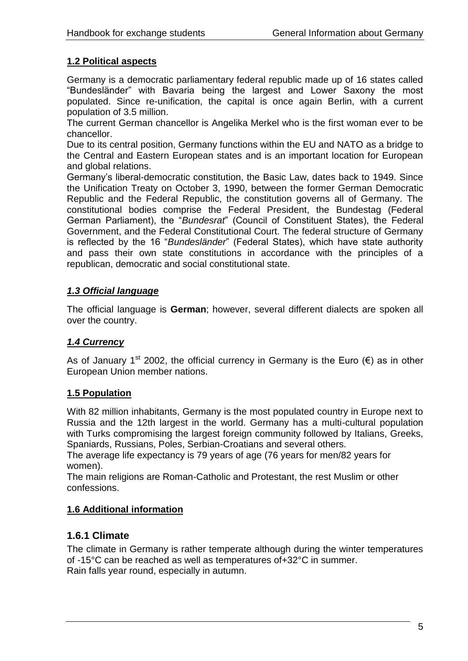# <span id="page-4-0"></span>**1.2 Political aspects**

Germany is a democratic parliamentary federal republic made up of 16 states called "Bundesländer" with Bavaria being the largest and Lower Saxony the most populated. Since re-unification, the capital is once again Berlin, with a current population of 3.5 million.

The current German chancellor is Angelika Merkel who is the first woman ever to be chancellor.

Due to its central position, Germany functions within the EU and NATO as a bridge to the Central and Eastern European states and is an important location for European and global relations.

Germany"s liberal-democratic constitution, the Basic Law, dates back to 1949. Since the Unification Treaty on October 3, 1990, between the former German Democratic Republic and the Federal Republic, the constitution governs all of Germany. The constitutional bodies comprise the Federal President, the Bundestag (Federal German Parliament), the "*Bundesrat*" (Council of Constituent States), the Federal Government, and the Federal Constitutional Court. The federal structure of Germany is reflected by the 16 "*Bundesländer*" (Federal States), which have state authority and pass their own state constitutions in accordance with the principles of a republican, democratic and social constitutional state.

## <span id="page-4-1"></span>*1.3 Official language*

The official language is **German**; however, several different dialects are spoken all over the country.

#### <span id="page-4-2"></span>*1.4 Currency*

As of January 1<sup>st</sup> 2002, the official currency in Germany is the Euro ( $\epsilon$ ) as in other European Union member nations.

#### <span id="page-4-3"></span>**1.5 Population**

With 82 million inhabitants, Germany is the most populated country in Europe next to Russia and the 12th largest in the world. Germany has a multi-cultural population with Turks compromising the largest foreign community followed by Italians, Greeks, Spaniards, Russians, Poles, Serbian-Croatians and several others.

The average life expectancy is 79 years of age (76 years for men/82 years for women).

The main religions are Roman-Catholic and Protestant, the rest Muslim or other confessions.

# <span id="page-4-4"></span>**1.6 Additional information**

# <span id="page-4-5"></span>**1.6.1 Climate**

The climate in Germany is rather temperate although during the winter temperatures of -15°C can be reached as well as temperatures of+32°C in summer. Rain falls year round, especially in autumn.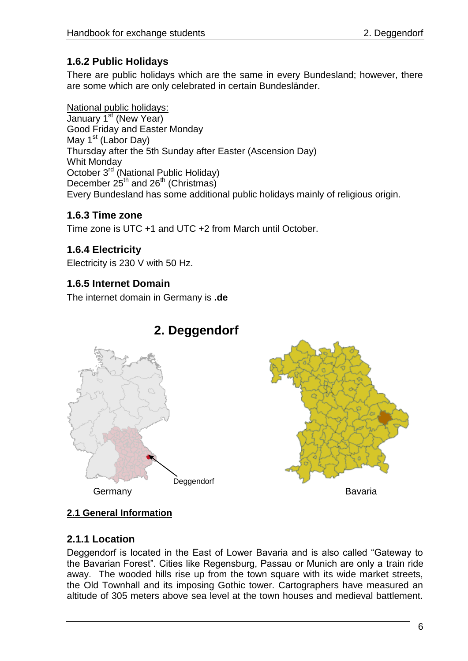# **1.6.2 Public Holidays**

<span id="page-5-0"></span>There are public holidays which are the same in every Bundesland; however, there are some which are only celebrated in certain Bundesländer.

National public holidays: January 1<sup>st</sup> (New Year) Good Friday and Easter Monday May  $1<sup>st</sup>$  (Labor Day) Thursday after the 5th Sunday after Easter (Ascension Day) Whit Monday October 3rd (National Public Holiday) December 25<sup>th</sup> and 26<sup>th</sup> (Christmas) Every Bundesland has some additional public holidays mainly of religious origin.

# <span id="page-5-1"></span>**1.6.3 Time zone**

Time zone is UTC +1 and UTC +2 from March until October.

# <span id="page-5-2"></span>**1.6.4 Electricity**

Electricity is 230 V with 50 Hz.

# <span id="page-5-3"></span>**1.6.5 Internet Domain**

The internet domain in Germany is **.de**

<span id="page-5-4"></span>

# **2. Deggendorf**



# <span id="page-5-5"></span>**2.1 General Information**

# <span id="page-5-6"></span>**2.1.1 Location**

Deggendorf is located in the East of Lower Bavaria and is also called "Gateway to the Bavarian Forest". Cities like Regensburg, Passau or Munich are only a train ride away. The wooded hills rise up from the town square with its wide market streets, the Old Townhall and its imposing Gothic tower. Cartographers have measured an altitude of 305 meters above sea level at the town houses and medieval battlement.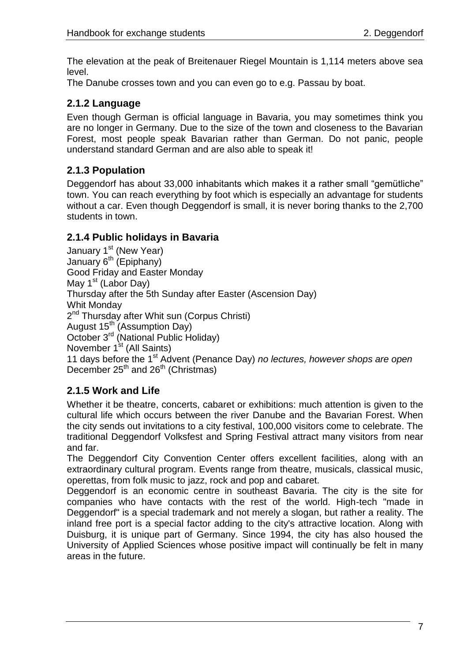The elevation at the peak of Breitenauer Riegel Mountain is 1,114 meters above sea level.

The Danube crosses town and you can even go to e.g. Passau by boat.

# <span id="page-6-0"></span>**2.1.2 Language**

Even though German is official language in Bavaria, you may sometimes think you are no longer in Germany. Due to the size of the town and closeness to the Bavarian Forest, most people speak Bavarian rather than German. Do not panic, people understand standard German and are also able to speak it!

# <span id="page-6-1"></span>**2.1.3 Population**

Deggendorf has about 33,000 inhabitants which makes it a rather small "gemütliche" town. You can reach everything by foot which is especially an advantage for students without a car. Even though Deggendorf is small, it is never boring thanks to the 2,700 students in town.

# <span id="page-6-2"></span>**2.1.4 Public holidays in Bavaria**

January  $1<sup>st</sup>$  (New Year) January  $6^{th}$  (Epiphany) Good Friday and Easter Monday May  $1<sup>st</sup>$  (Labor Day) Thursday after the 5th Sunday after Easter (Ascension Day) Whit Monday 2<sup>nd</sup> Thursday after Whit sun (Corpus Christi) August  $15^{th}$  (Assumption Day) October 3<sup>rd</sup> (National Public Holiday) November 1<sup>st</sup> (All Saints) 11 days before the 1st Advent (Penance Day) *no lectures, however shops are open* December  $25<sup>th</sup>$  and  $26<sup>th</sup>$  (Christmas)

# <span id="page-6-3"></span>**2.1.5 Work and Life**

Whether it be theatre, concerts, cabaret or exhibitions: much attention is given to the cultural life which occurs between the river Danube and the Bavarian Forest. When the city sends out invitations to a city festival, 100,000 visitors come to celebrate. The traditional Deggendorf Volksfest and Spring Festival attract many visitors from near and far.

The Deggendorf City Convention Center offers excellent facilities, along with an extraordinary cultural program. Events range from theatre, musicals, classical music, operettas, from folk music to jazz, rock and pop and cabaret.

Deggendorf is an economic centre in southeast Bavaria. The city is the site for companies who have contacts with the rest of the world. High-tech "made in Deggendorf" is a special trademark and not merely a slogan, but rather a reality. The inland free port is a special factor adding to the city's attractive location. Along with Duisburg, it is unique part of Germany. Since 1994, the city has also housed the University of Applied Sciences whose positive impact will continually be felt in many areas in the future.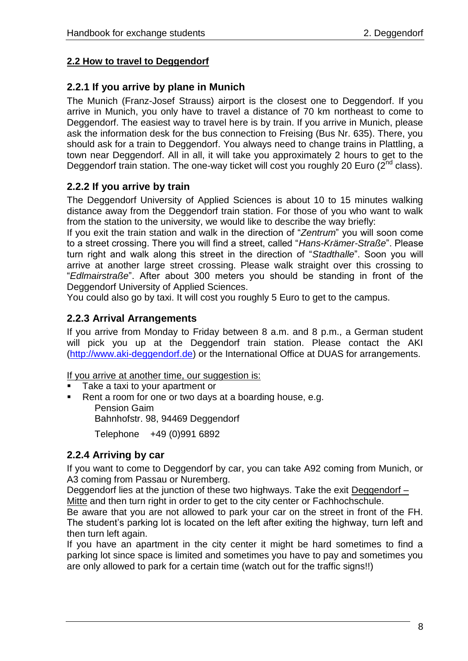# <span id="page-7-0"></span>**2.2 How to travel to Deggendorf**

## <span id="page-7-1"></span>**2.2.1 If you arrive by plane in Munich**

The Munich (Franz-Josef Strauss) airport is the closest one to Deggendorf. If you arrive in Munich, you only have to travel a distance of 70 km northeast to come to Deggendorf. The easiest way to travel here is by train. If you arrive in Munich, please ask the information desk for the bus connection to Freising (Bus Nr. 635). There, you should ask for a train to Deggendorf. You always need to change trains in Plattling, a town near Deggendorf. All in all, it will take you approximately 2 hours to get to the Deggendorf train station. The one-way ticket will cost you roughly 20 Euro ( $2^{nd}$  class).

# <span id="page-7-2"></span>**2.2.2 If you arrive by train**

The Deggendorf University of Applied Sciences is about 10 to 15 minutes walking distance away from the Deggendorf train station. For those of you who want to walk from the station to the university, we would like to describe the way briefly:

If you exit the train station and walk in the direction of "*Zentrum*" you will soon come to a street crossing. There you will find a street, called "*Hans-Krämer-Straße*". Please turn right and walk along this street in the direction of "*Stadthalle*". Soon you will arrive at another large street crossing. Please walk straight over this crossing to "*Edlmairstraße*". After about 300 meters you should be standing in front of the Deggendorf University of Applied Sciences.

You could also go by taxi. It will cost you roughly 5 Euro to get to the campus.

#### <span id="page-7-3"></span>**2.2.3 Arrival Arrangements**

If you arrive from Monday to Friday between 8 a.m. and 8 p.m., a German student will pick you up at the Deggendorf train station. Please contact the AKI [\(http://www.aki-deggendorf.de\)](http://www.aki.deg.net/) or the International Office at DUAS for arrangements.

If you arrive at another time, our suggestion is:

- Take a taxi to your apartment or
- Rent a room for one or two days at a boarding house, e.g. Pension Gaim Bahnhofstr. 98, 94469 Deggendorf Telephone +49 (0)991 6892

# <span id="page-7-4"></span>**2.2.4 Arriving by car**

If you want to come to Deggendorf by car, you can take A92 coming from Munich, or A3 coming from Passau or Nuremberg.

Deggendorf lies at the junction of these two highways. Take the exit Deggendorf – Mitte and then turn right in order to get to the city center or Fachhochschule.

Be aware that you are not allowed to park your car on the street in front of the FH. The student's parking lot is located on the left after exiting the highway, turn left and then turn left again.

<span id="page-7-5"></span>If you have an apartment in the city center it might be hard sometimes to find a parking lot since space is limited and sometimes you have to pay and sometimes you are only allowed to park for a certain time (watch out for the traffic signs!!)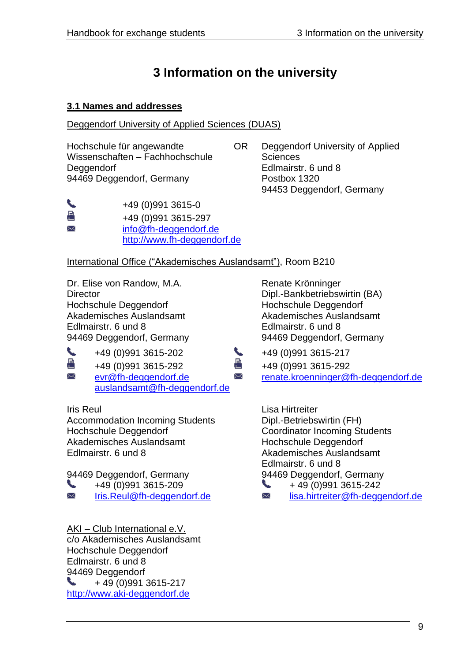# **3 Information on the university**

#### <span id="page-8-0"></span>**3.1 Names and addresses**

Deggendorf University of Applied Sciences (DUAS)

+49 (0)991 3615-0 +49 (0)991 3615-297 [info@fh-deggendorf.de](mailto:info@fh-deggendorf.de)

Wissenschaften – Fachhochschule Sciences Deggendorf **Edlmairstr. 6 und 8** 94469 Deggendorf, Germany Postbox 1320

Hochschule für angewandte OR Deggendorf University of Applied 94453 Deggendorf, Germany

International Office ("Akademisches Auslandsamt"), Room B210

[http://www.fh-deggendorf.de](http://www.fh-deggendorf.de/)

Dr. Elise von Randow, M.A. Renate Krönninger Director Dipl.-Bankbetriebswirtin (BA) Hochschule Deggendorf Hochschule Deggendorf Akademisches Auslandsamt Akademisches Auslandsamt Edlmairstr. 6 und 8 Edlmairstr. 6 und 8 94469 Deggendorf, Germany 94469 Deggendorf, Germany

↖ 퇃 X

↖ a X

> +49 (0)991 3615-202 +49 (0)991 3615-217 +49 (0)991 3615-292 +49 (0)991 3615-292

[auslandsamt@fh-deggendorf.de](mailto:auslandsamt@fh-deggendorf.de)

Accommodation Incoming Students Dipl.-Betriebswirtin (FH) Hochschule Deggendorf Coordinator Incoming Students Akademisches Auslandsamt Hochschule Deggendorf Edlmairstr. 6 und 8 and 1 and 1 and 1 and 2 Akademisches Auslandsamt

94469 Deggendorf, Germany 94469 Deggendorf, Germany

╰

X

AKI – Club International e.V. c/o Akademisches Auslandsamt Hochschule Deggendorf Edlmairstr. 6 und 8 94469 Deggendorf + 49 (0)991 3615-217 [http://www.aki-deggendorf.de](http://www.aki.deg.net/)

[evr@fh-deggendorf.de](mailto:evr@fh-deggendorf.de) [renate.kroenninger@fh-deggendorf.de](mailto:renate.kroenninger@fh-deggendorf.de)

**Iris Reul Lisa Hirtreiter** Edlmairstr. 6 und 8

 $+49(0)9913615-209$   $+49(0)9913615-242$ 

[Iris.Reul@fh-deggendorf.de](mailto:Iris.Reul@fh-deggendorf.de) <br>
■ [lisa.hirtreiter@fh-deggendorf.de](mailto:lisa.hirtreiter@fh-deggendorf.de)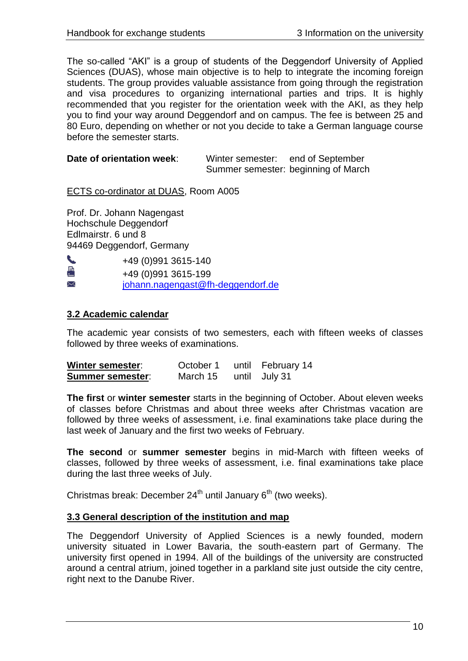The so-called "AKI" is a group of students of the Deggendorf University of Applied Sciences (DUAS), whose main objective is to help to integrate the incoming foreign students. The group provides valuable assistance from going through the registration and visa procedures to organizing international parties and trips. It is highly recommended that you register for the orientation week with the AKI, as they help you to find your way around Deggendorf and on campus. The fee is between 25 and 80 Euro, depending on whether or not you decide to take a German language course before the semester starts.

| Date of orientation week: | Winter semester:                    | end of September |
|---------------------------|-------------------------------------|------------------|
|                           | Summer semester: beginning of March |                  |

ECTS co-ordinator at DUAS, Room A005

Prof. Dr. Johann Nagengast Hochschule Deggendorf Edlmairstr. 6 und 8 94469 Deggendorf, Germany

| ╰ | +49 (0) 991 3615-140              |
|---|-----------------------------------|
| 重 | +49 (0)991 3615-199               |
| ⋈ | johann.nagengast@fh-deggendorf.de |

#### <span id="page-9-0"></span>**3.2 Academic calendar**

The academic year consists of two semesters, each with fifteen weeks of classes followed by three weeks of examinations.

| <b>Winter semester:</b> | October 1 | until February 14 |
|-------------------------|-----------|-------------------|
| <b>Summer semester:</b> | March 15  | until July 31     |

**The first** or **winter semester** starts in the beginning of October. About eleven weeks of classes before Christmas and about three weeks after Christmas vacation are followed by three weeks of assessment, i.e. final examinations take place during the last week of January and the first two weeks of February.

**The second** or **summer semester** begins in mid-March with fifteen weeks of classes, followed by three weeks of assessment, i.e. final examinations take place during the last three weeks of July.

Christmas break: December  $24<sup>th</sup>$  until January  $6<sup>th</sup>$  (two weeks).

#### <span id="page-9-1"></span>**3.3 General description of the institution and map**

The Deggendorf University of Applied Sciences is a newly founded, modern university situated in Lower Bavaria, the south-eastern part of Germany. The university first opened in 1994. All of the buildings of the university are constructed around a central atrium, joined together in a parkland site just outside the city centre, right next to the Danube River.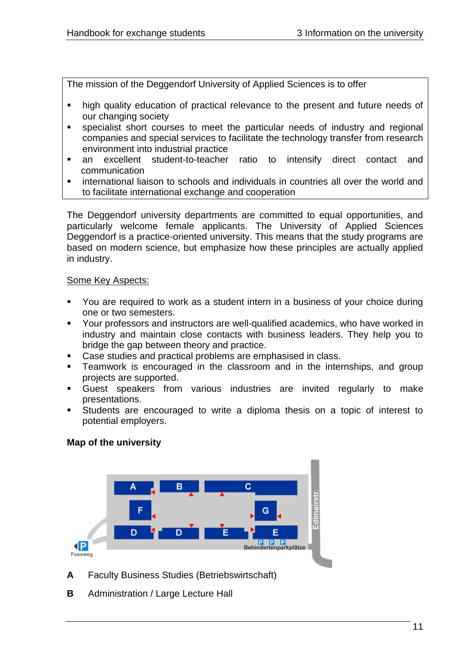The mission of the Deggendorf University of Applied Sciences is to offer

- high quality education of practical relevance to the present and future needs of our changing society
- specialist short courses to meet the particular needs of industry and regional companies and special services to facilitate the technology transfer from research environment into industrial practice
- an excellent student-to-teacher ratio to intensify direct contact and communication
- international liaison to schools and individuals in countries all over the world and to facilitate international exchange and cooperation

The Deggendorf university departments are committed to equal opportunities, and particularly welcome female applicants. The University of Applied Sciences Deggendorf is a practice-oriented university. This means that the study programs are based on modern science, but emphasize how these principles are actually applied in industry.

#### Some Key Aspects:

- You are required to work as a student intern in a business of your choice during one or two semesters.
- Your professors and instructors are well-qualified academics, who have worked in industry and maintain close contacts with business leaders. They help you to bridge the gap between theory and practice.
- Case studies and practical problems are emphasised in class.
- **Teamwork is encouraged in the classroom and in the internships, and group** projects are supported.
- Guest speakers from various industries are invited regularly to make presentations.
- Students are encouraged to write a diploma thesis on a topic of interest to potential employers.

#### **Map of the university**



**A** Faculty Business Studies (Betriebswirtschaft)

**B** Administration / Large Lecture Hall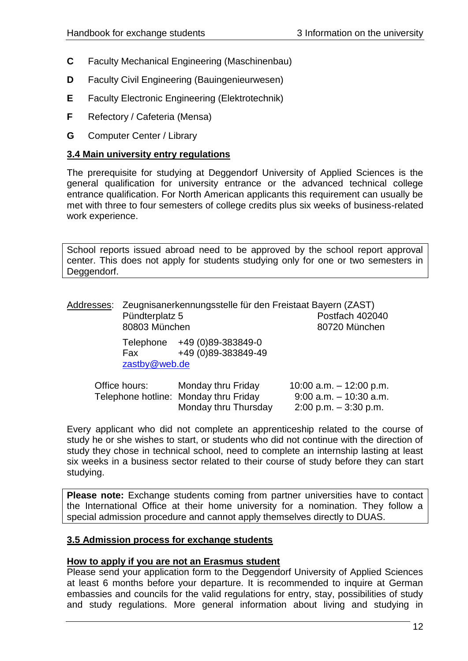- **C** Faculty Mechanical Engineering (Maschinenbau)
- **D** Faculty Civil Engineering (Bauingenieurwesen)
- **E** Faculty Electronic Engineering (Elektrotechnik)
- **F** Refectory / Cafeteria (Mensa)
- **G** Computer Center / Library

#### <span id="page-11-0"></span>**3.4 Main university entry regulations**

The prerequisite for studying at Deggendorf University of Applied Sciences is the general qualification for university entrance or the advanced technical college entrance qualification. For North American applicants this requirement can usually be met with three to four semesters of college credits plus six weeks of business-related work experience.

School reports issued abroad need to be approved by the school report approval center. This does not apply for students studying only for one or two semesters in Deggendorf.

| Pündterplatz 5<br>80803 München | Addresses: Zeugnisanerkennungsstelle für den Freistaat Bayern (ZAST) | Postfach 402040<br>80720 München                       |
|---------------------------------|----------------------------------------------------------------------|--------------------------------------------------------|
| Fax<br>zastby@web.de            | Telephone +49 (0)89-383849-0<br>+49 (0)89-383849-49                  |                                                        |
| Office hours:                   | Monday thru Friday<br>Telephone hotline: Monday thru Friday          | 10:00 a.m. $-$ 12:00 p.m.<br>$9:00$ a.m. $-10:30$ a.m. |

Every applicant who did not complete an apprenticeship related to the course of study he or she wishes to start, or students who did not continue with the direction of study they chose in technical school, need to complete an internship lasting at least six weeks in a business sector related to their course of study before they can start studying.

Monday thru Thursday 2:00 p.m. – 3:30 p.m.

**Please note:** Exchange students coming from partner universities have to contact the International Office at their home university for a nomination. They follow a special admission procedure and cannot apply themselves directly to DUAS.

#### <span id="page-11-1"></span>**3.5 Admission process for exchange students**

#### **How to apply if you are not an Erasmus student**

Please send your application form to the Deggendorf University of Applied Sciences at least 6 months before your departure. It is recommended to inquire at German embassies and councils for the valid regulations for entry, stay, possibilities of study and study regulations. More general information about living and studying in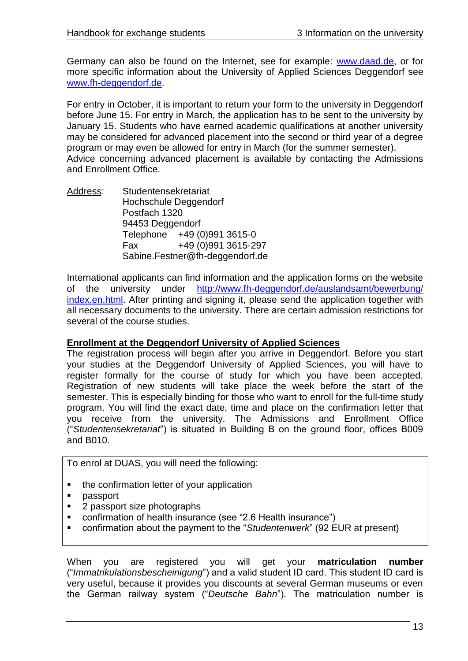Germany can also be found on the Internet, see for example: [www.daad.de,](http://www.daad.de/) or for more specific information about the University of Applied Sciences Deggendorf see [www.fh-deggendorf.de.](http://www.fh-deggendorf.de/)

For entry in October, it is important to return your form to the university in Deggendorf before June 15. For entry in March, the application has to be sent to the university by January 15. Students who have earned academic qualifications at another university may be considered for advanced placement into the second or third year of a degree program or may even be allowed for entry in March (for the summer semester). Advice concerning advanced placement is available by contacting the Admissions and Enrollment Office.

Address: Studentensekretariat Hochschule Deggendorf Postfach 1320 94453 Deggendorf Telephone +49 (0)991 3615-0 Fax +49 (0)991 3615-297 Sabine.Festner@fh-deggendorf.de

International applicants can find information and the application forms on the website of the university under [http://www.fh-deggendorf.de/auslandsamt/bewerbung/](http://www.fh-deggendorf.de/auslandsamt/bewerbung/index.en.html) [index.en.html.](http://www.fh-deggendorf.de/auslandsamt/bewerbung/index.en.html) After printing and signing it, please send the application together with all necessary documents to the university. There are certain admission restrictions for several of the course studies.

#### **Enrollment at the Deggendorf University of Applied Sciences**

The registration process will begin after you arrive in Deggendorf. Before you start your studies at the Deggendorf University of Applied Sciences, you will have to register formally for the course of study for which you have been accepted. Registration of new students will take place the week before the start of the semester. This is especially binding for those who want to enroll for the full-time study program. You will find the exact date, time and place on the confirmation letter that you receive from the university. The Admissions and Enrollment Office ("*Studentensekretariat*") is situated in Building B on the ground floor, offices B009 and B010.

To enrol at DUAS, you will need the following:

- the confirmation letter of your application
- passport
- 2 passport size photographs
- confirmation of health insurance (see "2.6 Health insurance")
- confirmation about the payment to the "*Studentenwerk*" (92 EUR at present)

When you are registered you will get your **matriculation number** ("*Immatrikulationsbescheinigung*") and a valid student ID card. This student ID card is very useful, because it provides you discounts at several German museums or even the German railway system ("*Deutsche Bahn*"). The matriculation number is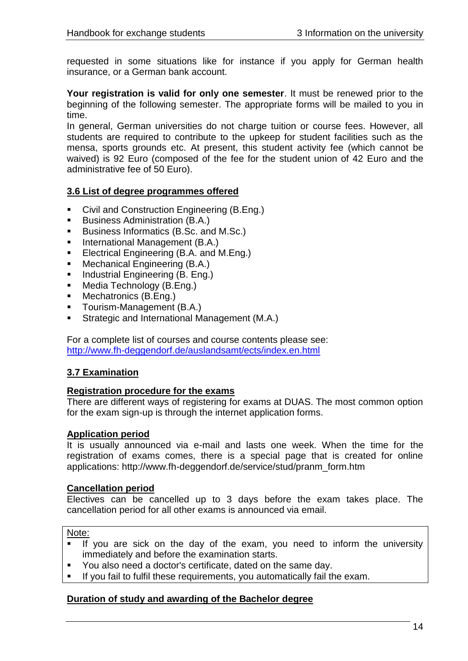requested in some situations like for instance if you apply for German health insurance, or a German bank account.

**Your registration is valid for only one semester**. It must be renewed prior to the beginning of the following semester. The appropriate forms will be mailed to you in time.

In general, German universities do not charge tuition or course fees. However, all students are required to contribute to the upkeep for student facilities such as the mensa, sports grounds etc. At present, this student activity fee (which cannot be waived) is 92 Euro (composed of the fee for the student union of 42 Euro and the administrative fee of 50 Euro).

#### <span id="page-13-0"></span>**3.6 List of degree programmes offered**

- **Civil and Construction Engineering (B.Eng.)**
- Business Administration (B.A.)
- Business Informatics (B.Sc. and M.Sc.)
- International Management (B.A.)
- **Electrical Engineering (B.A. and M.Eng.)**
- **Mechanical Engineering (B.A.)**
- **Industrial Engineering (B. Eng.)**
- **Media Technology (B.Eng.)**
- **Mechatronics (B.Eng.)**
- **Tourism-Management (B.A.)**
- **Strategic and International Management (M.A.)**

For a complete list of courses and course contents please see: <http://www.fh-deggendorf.de/auslandsamt/ects/index.en.html>

#### <span id="page-13-1"></span>**3.7 Examination**

#### **Registration procedure for the exams**

There are different ways of registering for exams at DUAS. The most common option for the exam sign-up is through the internet application forms.

#### **Application period**

It is usually announced via e-mail and lasts one week. When the time for the registration of exams comes, there is a special page that is created for online applications: http://www.fh-deggendorf.de/service/stud/pranm\_form.htm

#### **Cancellation period**

Electives can be cancelled up to 3 days before the exam takes place. The cancellation period for all other exams is announced via email.

Note:

- If you are sick on the day of the exam, you need to inform the university immediately and before the examination starts.
- You also need a doctor's certificate, dated on the same day.
- **If you fail to fulfil these requirements, you automatically fail the exam.**

#### **Duration of study and awarding of the Bachelor degree**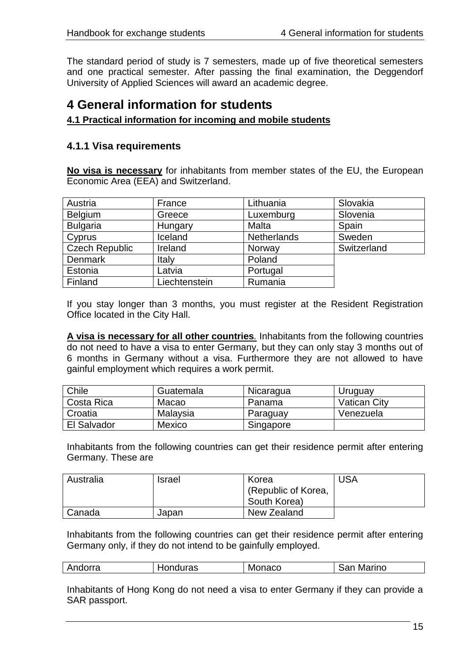The standard period of study is 7 semesters, made up of five theoretical semesters and one practical semester. After passing the final examination, the Deggendorf University of Applied Sciences will award an academic degree.

# <span id="page-14-0"></span>**4 General information for students**

#### <span id="page-14-1"></span>**4.1 Practical information for incoming and mobile students**

## <span id="page-14-2"></span>**4.1.1 Visa requirements**

**No visa is necessary** for inhabitants from member states of the EU, the European Economic Area (EEA) and Switzerland.

| Austria               | France        | Lithuania          | Slovakia    |
|-----------------------|---------------|--------------------|-------------|
| Belgium               | Greece        | Luxemburg          | Slovenia    |
| <b>Bulgaria</b>       | Hungary       | Malta              | Spain       |
| Cyprus                | Iceland       | <b>Netherlands</b> | Sweden      |
| <b>Czech Republic</b> | Ireland       | Norway             | Switzerland |
| <b>Denmark</b>        | Italy         | Poland             |             |
| Estonia               | Latvia        | Portugal           |             |
| Finland               | Liechtenstein | Rumania            |             |

If you stay longer than 3 months, you must register at the Resident Registration Office located in the City Hall.

**A visa is necessary for all other countries***.* Inhabitants from the following countries do not need to have a visa to enter Germany, but they can only stay 3 months out of 6 months in Germany without a visa. Furthermore they are not allowed to have gainful employment which requires a work permit.

| Chile       | Guatemala | Nicaragua | Uruguay             |
|-------------|-----------|-----------|---------------------|
| Costa Rica  | Macao     | Panama    | <b>Vatican City</b> |
| Croatia     | Malaysia  | Paraguay  | Venezuela           |
| El Salvador | Mexico    | Singapore |                     |

Inhabitants from the following countries can get their residence permit after entering Germany. These are

| Australia | <b>Israel</b> | Korea               | <b>USA</b> |
|-----------|---------------|---------------------|------------|
|           |               | (Republic of Korea, |            |
|           |               | South Korea)        |            |
| Canada    | Japan         | New Zealand         |            |

Inhabitants from the following countries can get their residence permit after entering Germany only, if they do not intend to be gainfully employed.

| Andorra | Honduras | Monaco | San<br>Marino |
|---------|----------|--------|---------------|
|---------|----------|--------|---------------|

Inhabitants of Hong Kong do not need a visa to enter Germany if they can provide a SAR passport.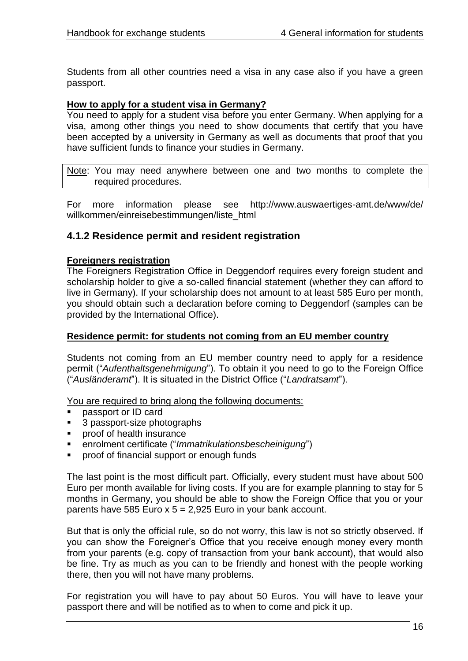Students from all other countries need a visa in any case also if you have a green passport.

#### **How to apply for a student visa in Germany?**

You need to apply for a student visa before you enter Germany. When applying for a visa, among other things you need to show documents that certify that you have been accepted by a university in Germany as well as documents that proof that you have sufficient funds to finance your studies in Germany.

Note: You may need anywhere between one and two months to complete the required procedures.

For more information please see http://www.auswaertiges-amt.de/www/de/ willkommen/einreisebestimmungen/liste\_html

#### <span id="page-15-0"></span>**4.1.2 Residence permit and resident registration**

#### **Foreigners registration**

The Foreigners Registration Office in Deggendorf requires every foreign student and scholarship holder to give a so-called financial statement (whether they can afford to live in Germany). If your scholarship does not amount to at least 585 Euro per month, you should obtain such a declaration before coming to Deggendorf (samples can be provided by the International Office).

#### **Residence permit: for students not coming from an EU member country**

Students not coming from an EU member country need to apply for a residence permit ("*Aufenthaltsgenehmigung*"). To obtain it you need to go to the Foreign Office ("*Ausländeramt*"). It is situated in the District Office ("*Landratsamt*").

You are required to bring along the following documents:

- **passport or ID card**
- 3 passport-size photographs
- **Proof of health insurance**
- enrolment certificate ("*Immatrikulationsbescheinigung*")
- **•** proof of financial support or enough funds

The last point is the most difficult part. Officially, every student must have about 500 Euro per month available for living costs. If you are for example planning to stay for 5 months in Germany, you should be able to show the Foreign Office that you or your parents have 585 Euro  $x$  5 = 2,925 Euro in your bank account.

But that is only the official rule, so do not worry, this law is not so strictly observed. If you can show the Foreigner"s Office that you receive enough money every month from your parents (e.g. copy of transaction from your bank account), that would also be fine. Try as much as you can to be friendly and honest with the people working there, then you will not have many problems.

For registration you will have to pay about 50 Euros. You will have to leave your passport there and will be notified as to when to come and pick it up.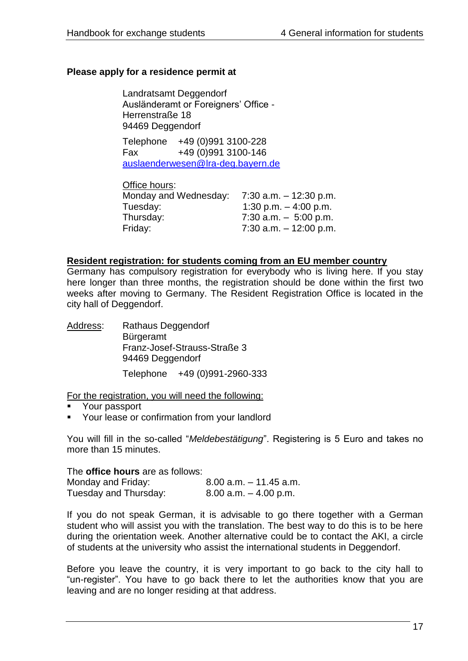#### **Please apply for a residence permit at**

Landratsamt Deggendorf Ausländeramt or Foreigners" Office - Herrenstraße 18 94469 Deggendorf

Telephone +49 (0)991 3100-228 Fax +49 (0)991 3100-146 [auslaenderwesen@lra-deg.bayern.de](mailto:auslaenderwesen@lra-deg.bayern.de)

Office hours: Monday and Wednesday: 7:30 a.m. – 12:30 p.m. Tuesday: 1:30 p.m. – 4:00 p.m. Thursday: 7:30 a.m. – 5:00 p.m. Friday: 7:30 a.m. – 12:00 p.m.

#### **Resident registration: for students coming from an EU member country**

Germany has compulsory registration for everybody who is living here. If you stay here longer than three months, the registration should be done within the first two weeks after moving to Germany. The Resident Registration Office is located in the city hall of Deggendorf.

Address: Rathaus Deggendorf Bürgeramt Franz-Josef-Strauss-Straße 3 94469 Deggendorf Telephone +49 (0)991-2960-333

For the registration, you will need the following:

- Your passport
- Your lease or confirmation from your landlord

You will fill in the so-called "*Meldebestätigung*". Registering is 5 Euro and takes no more than 15 minutes.

The **office hours** are as follows:

| Monday and Friday:    | $8.00$ a.m. $-11.45$ a.m. |
|-----------------------|---------------------------|
| Tuesday and Thursday: | $8.00$ a.m. $-4.00$ p.m.  |

If you do not speak German, it is advisable to go there together with a German student who will assist you with the translation. The best way to do this is to be here during the orientation week. Another alternative could be to contact the AKI, a circle of students at the university who assist the international students in Deggendorf.

Before you leave the country, it is very important to go back to the city hall to "un-register". You have to go back there to let the authorities know that you are leaving and are no longer residing at that address.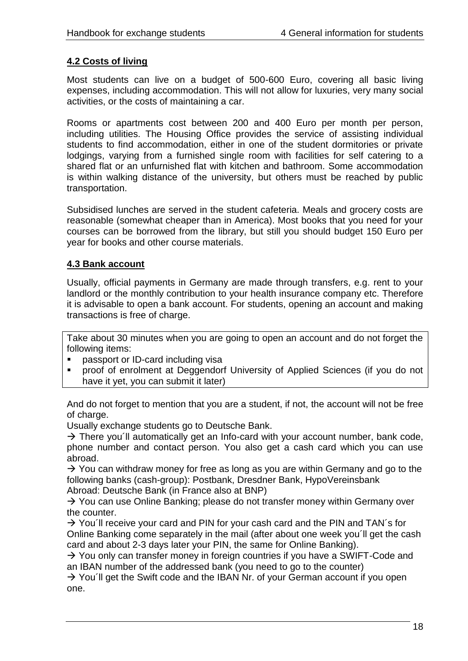# <span id="page-17-0"></span>**4.2 Costs of living**

Most students can live on a budget of 500-600 Euro, covering all basic living expenses, including accommodation. This will not allow for luxuries, very many social activities, or the costs of maintaining a car.

Rooms or apartments cost between 200 and 400 Euro per month per person, including utilities. The Housing Office provides the service of assisting individual students to find accommodation, either in one of the student dormitories or private lodgings, varying from a furnished single room with facilities for self catering to a shared flat or an unfurnished flat with kitchen and bathroom. Some accommodation is within walking distance of the university, but others must be reached by public transportation.

Subsidised lunches are served in the student cafeteria. Meals and grocery costs are reasonable (somewhat cheaper than in America). Most books that you need for your courses can be borrowed from the library, but still you should budget 150 Euro per year for books and other course materials.

#### <span id="page-17-1"></span>**4.3 Bank account**

Usually, official payments in Germany are made through transfers, e.g. rent to your landlord or the monthly contribution to your health insurance company etc. Therefore it is advisable to open a bank account. For students, opening an account and making transactions is free of charge.

Take about 30 minutes when you are going to open an account and do not forget the following items:

- passport or ID-card including visa
- proof of enrolment at Deggendorf University of Applied Sciences (if you do not have it yet, you can submit it later)

And do not forget to mention that you are a student, if not, the account will not be free of charge.

Usually exchange students go to Deutsche Bank.

 $\rightarrow$  There you'll automatically get an Info-card with your account number, bank code, phone number and contact person. You also get a cash card which you can use abroad.

 $\rightarrow$  You can withdraw money for free as long as you are within Germany and go to the following banks (cash-group): Postbank, Dresdner Bank, HypoVereinsbank Abroad: Deutsche Bank (in France also at BNP)

 $\rightarrow$  You can use Online Banking; please do not transfer money within Germany over the counter.

 $\rightarrow$  You'll receive your card and PIN for your cash card and the PIN and TAN's for Online Banking come separately in the mail (after about one week you´ll get the cash card and about 2-3 days later your PIN, the same for Online Banking).

 $\rightarrow$  You only can transfer money in foreign countries if you have a SWIFT-Code and an IBAN number of the addressed bank (you need to go to the counter)

 $\rightarrow$  You'll get the Swift code and the IBAN Nr. of your German account if you open one.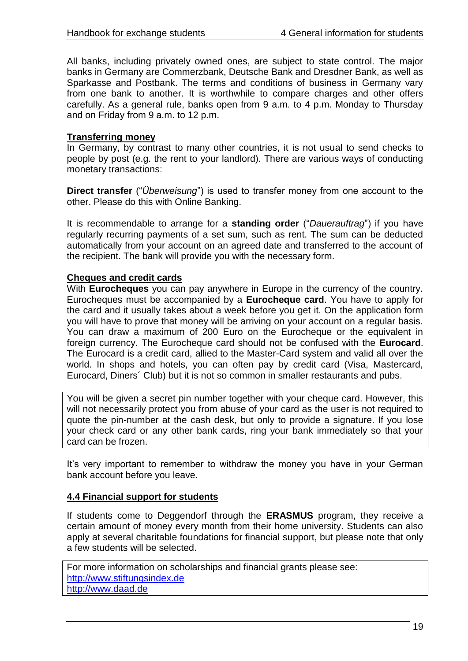All banks, including privately owned ones, are subject to state control. The major banks in Germany are Commerzbank, Deutsche Bank and Dresdner Bank, as well as Sparkasse and Postbank. The terms and conditions of business in Germany vary from one bank to another. It is worthwhile to compare charges and other offers carefully. As a general rule, banks open from 9 a.m. to 4 p.m. Monday to Thursday and on Friday from 9 a.m. to 12 p.m.

#### **Transferring money**

In Germany, by contrast to many other countries, it is not usual to send checks to people by post (e.g. the rent to your landlord). There are various ways of conducting monetary transactions:

**Direct transfer** ("*Überweisung*") is used to transfer money from one account to the other. Please do this with Online Banking.

It is recommendable to arrange for a **standing order** ("*Dauerauftrag*") if you have regularly recurring payments of a set sum, such as rent. The sum can be deducted automatically from your account on an agreed date and transferred to the account of the recipient. The bank will provide you with the necessary form.

#### **Cheques and credit cards**

With **Eurocheques** you can pay anywhere in Europe in the currency of the country. Eurocheques must be accompanied by a **Eurocheque card**. You have to apply for the card and it usually takes about a week before you get it. On the application form you will have to prove that money will be arriving on your account on a regular basis. You can draw a maximum of 200 Euro on the Eurocheque or the equivalent in foreign currency. The Eurocheque card should not be confused with the **Eurocard**. The Eurocard is a credit card, allied to the Master-Card system and valid all over the world. In shops and hotels, you can often pay by credit card (Visa, Mastercard, Eurocard, Diners´ Club) but it is not so common in smaller restaurants and pubs.

You will be given a secret pin number together with your cheque card. However, this will not necessarily protect you from abuse of your card as the user is not required to quote the pin-number at the cash desk, but only to provide a signature. If you lose your check card or any other bank cards, ring your bank immediately so that your card can be frozen.

It's very important to remember to withdraw the money you have in your German bank account before you leave.

#### <span id="page-18-0"></span>**4.4 Financial support for students**

If students come to Deggendorf through the **ERASMUS** program, they receive a certain amount of money every month from their home university. Students can also apply at several charitable foundations for financial support, but please note that only a few students will be selected.

For more information on scholarships and financial grants please see: [http://www.stiftungsindex.de](http://www.stiftungsindex.de/) [http://www.daad.de](http://www.daad.de/)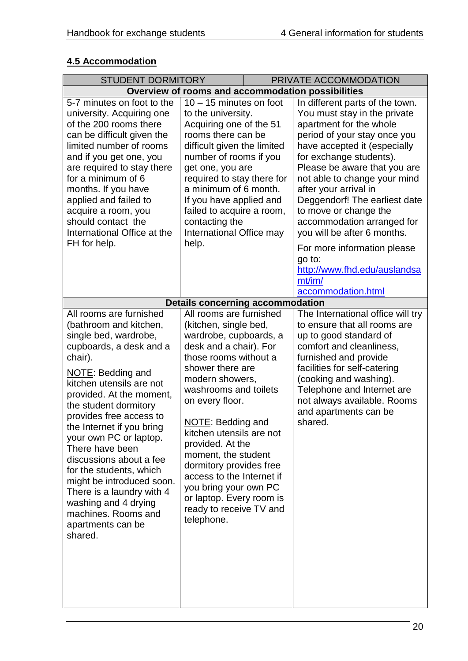# <span id="page-19-0"></span>**4.5 Accommodation**

| <b>STUDENT DORMITORY</b><br>PRIVATE ACCOMMODATION                                                                                                                                                                                                                                                                                                                                                                                                                                                                          |                                                                                                                                                                                                                                                                                                                                                                                                                                                                    |  |                                                                                                                                                                                                                                                                                                                                                                                                                                                                                                                                |  |
|----------------------------------------------------------------------------------------------------------------------------------------------------------------------------------------------------------------------------------------------------------------------------------------------------------------------------------------------------------------------------------------------------------------------------------------------------------------------------------------------------------------------------|--------------------------------------------------------------------------------------------------------------------------------------------------------------------------------------------------------------------------------------------------------------------------------------------------------------------------------------------------------------------------------------------------------------------------------------------------------------------|--|--------------------------------------------------------------------------------------------------------------------------------------------------------------------------------------------------------------------------------------------------------------------------------------------------------------------------------------------------------------------------------------------------------------------------------------------------------------------------------------------------------------------------------|--|
| Overview of rooms and accommodation possibilities                                                                                                                                                                                                                                                                                                                                                                                                                                                                          |                                                                                                                                                                                                                                                                                                                                                                                                                                                                    |  |                                                                                                                                                                                                                                                                                                                                                                                                                                                                                                                                |  |
| 5-7 minutes on foot to the<br>university. Acquiring one<br>of the 200 rooms there<br>can be difficult given the<br>limited number of rooms<br>and if you get one, you<br>are required to stay there<br>for a minimum of 6<br>months. If you have<br>applied and failed to<br>acquire a room, you<br>should contact the<br>International Office at the<br>FH for help.                                                                                                                                                      | 10 - 15 minutes on foot<br>to the university.<br>Acquiring one of the 51<br>rooms there can be<br>difficult given the limited<br>number of rooms if you<br>get one, you are<br>required to stay there for<br>a minimum of 6 month.<br>If you have applied and<br>failed to acquire a room,<br>contacting the<br>International Office may<br>help.                                                                                                                  |  | In different parts of the town.<br>You must stay in the private<br>apartment for the whole<br>period of your stay once you<br>have accepted it (especially<br>for exchange students).<br>Please be aware that you are<br>not able to change your mind<br>after your arrival in<br>Deggendorf! The earliest date<br>to move or change the<br>accommodation arranged for<br>you will be after 6 months.<br>For more information please<br>go to:<br>http://www.fhd.edu/auslandsa<br>$mt\text{/}im\text{/}$<br>accommodation.html |  |
|                                                                                                                                                                                                                                                                                                                                                                                                                                                                                                                            | <b>Details concerning accommodation</b>                                                                                                                                                                                                                                                                                                                                                                                                                            |  |                                                                                                                                                                                                                                                                                                                                                                                                                                                                                                                                |  |
| All rooms are furnished<br>(bathroom and kitchen,<br>single bed, wardrobe,<br>cupboards, a desk and a<br>chair).<br>NOTE: Bedding and<br>kitchen utensils are not<br>provided. At the moment,<br>the student dormitory<br>provides free access to<br>the Internet if you bring<br>your own PC or laptop.<br>There have been<br>discussions about a fee<br>for the students, which<br>might be introduced soon.<br>There is a laundry with 4<br>washing and 4 drying<br>machines. Rooms and<br>apartments can be<br>shared. | All rooms are furnished<br>(kitchen, single bed,<br>wardrobe, cupboards, a<br>desk and a chair). For<br>those rooms without a<br>shower there are<br>modern showers,<br>washrooms and toilets<br>on every floor.<br>NOTE: Bedding and<br>kitchen utensils are not<br>provided. At the<br>moment, the student<br>dormitory provides free<br>access to the Internet if<br>you bring your own PC<br>or laptop. Every room is<br>ready to receive TV and<br>telephone. |  | The International office will try<br>to ensure that all rooms are<br>up to good standard of<br>comfort and cleanliness,<br>furnished and provide<br>facilities for self-catering<br>(cooking and washing).<br>Telephone and Internet are<br>not always available. Rooms<br>and apartments can be<br>shared.                                                                                                                                                                                                                    |  |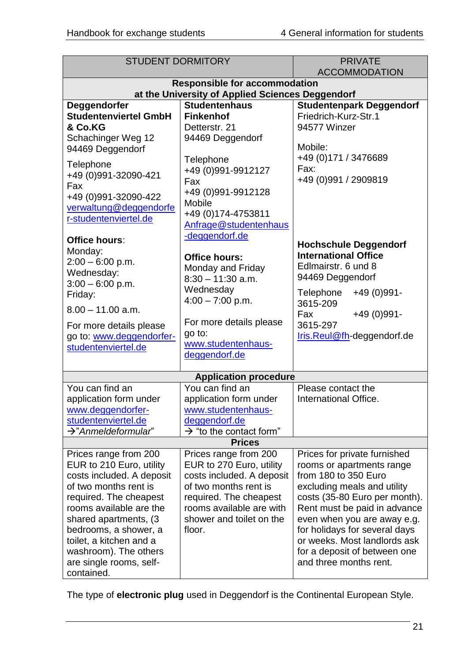| <b>STUDENT DORMITORY</b>                                                                                                                                                                                                                                                                                     |                                                                                                                                                                                                     | <b>PRIVATE</b><br><b>ACCOMMODATION</b>                                                                                                                                                                                                                                                                                                      |  |
|--------------------------------------------------------------------------------------------------------------------------------------------------------------------------------------------------------------------------------------------------------------------------------------------------------------|-----------------------------------------------------------------------------------------------------------------------------------------------------------------------------------------------------|---------------------------------------------------------------------------------------------------------------------------------------------------------------------------------------------------------------------------------------------------------------------------------------------------------------------------------------------|--|
| <b>Responsible for accommodation</b>                                                                                                                                                                                                                                                                         |                                                                                                                                                                                                     |                                                                                                                                                                                                                                                                                                                                             |  |
|                                                                                                                                                                                                                                                                                                              | at the University of Applied Sciences Deggendorf                                                                                                                                                    |                                                                                                                                                                                                                                                                                                                                             |  |
| Deggendorfer<br><b>Studentenviertel GmbH</b><br>& Co.KG<br>Schachinger Weg 12<br>94469 Deggendorf                                                                                                                                                                                                            | <b>Studentenhaus</b><br><b>Finkenhof</b><br>Detterstr. 21<br>94469 Deggendorf                                                                                                                       | <b>Studentenpark Deggendorf</b><br>Friedrich-Kurz-Str.1<br>94577 Winzer<br>Mobile:                                                                                                                                                                                                                                                          |  |
| Telephone<br>+49 (0)991-32090-421<br>Fax<br>+49 (0)991-32090-422<br>verwaltung@deggendorfe<br>r-studentenviertel.de                                                                                                                                                                                          | Telephone<br>+49 (0)991-9912127<br>Fax<br>+49 (0)991-9912128<br>Mobile<br>+49 (0) 174-4753811<br>Anfrage@studentenhaus                                                                              | +49 (0) 171 / 3476689<br>Fax:<br>+49 (0)991 / 2909819                                                                                                                                                                                                                                                                                       |  |
| <b>Office hours:</b><br>Monday:<br>$2:00 - 6:00$ p.m.<br>Wednesday:<br>$3:00 - 6:00$ p.m.<br>Friday:                                                                                                                                                                                                         | -deggendorf.de<br><b>Office hours:</b><br>Monday and Friday<br>$8:30 - 11:30$ a.m.<br>Wednesday<br>$4:00 - 7:00$ p.m.                                                                               | <b>Hochschule Deggendorf</b><br><b>International Office</b><br>Edlmairstr. 6 und 8<br>94469 Deggendorf<br>Telephone<br>+49 (0) 991-<br>3615-209                                                                                                                                                                                             |  |
| $8.00 - 11.00$ a.m.<br>For more details please<br>go to: www.deggendorfer-<br>studentenviertel.de                                                                                                                                                                                                            | For more details please<br>go to:<br>www.studentenhaus-<br>deggendorf.de                                                                                                                            | +49 (0) 991 -<br>Fax<br>3615-297<br>Iris.Reul@fh-deggendorf.de                                                                                                                                                                                                                                                                              |  |
|                                                                                                                                                                                                                                                                                                              | <b>Application procedure</b>                                                                                                                                                                        |                                                                                                                                                                                                                                                                                                                                             |  |
| You can find an<br>application form under<br>www.deggendorfer-<br>studentenviertel.de<br>$\rightarrow$ "Anmeldeformular"                                                                                                                                                                                     | You can find an<br>application form under<br>www.studentenhaus-<br>deggendorf.de<br>$\rightarrow$ "to the contact form"                                                                             | Please contact the<br>International Office.                                                                                                                                                                                                                                                                                                 |  |
| <b>Prices</b>                                                                                                                                                                                                                                                                                                |                                                                                                                                                                                                     |                                                                                                                                                                                                                                                                                                                                             |  |
| Prices range from 200<br>EUR to 210 Euro, utility<br>costs included. A deposit<br>of two months rent is<br>required. The cheapest<br>rooms available are the<br>shared apartments, (3)<br>bedrooms, a shower, a<br>toilet, a kitchen and a<br>washroom). The others<br>are single rooms, self-<br>contained. | Prices range from 200<br>EUR to 270 Euro, utility<br>costs included. A deposit<br>of two months rent is<br>required. The cheapest<br>rooms available are with<br>shower and toilet on the<br>floor. | Prices for private furnished<br>rooms or apartments range<br>from 180 to 350 Euro<br>excluding meals and utility<br>costs (35-80 Euro per month).<br>Rent must be paid in advance<br>even when you are away e.g.<br>for holidays for several days<br>or weeks. Most landlords ask<br>for a deposit of between one<br>and three months rent. |  |

The type of **electronic plug** used in Deggendorf is the Continental European Style.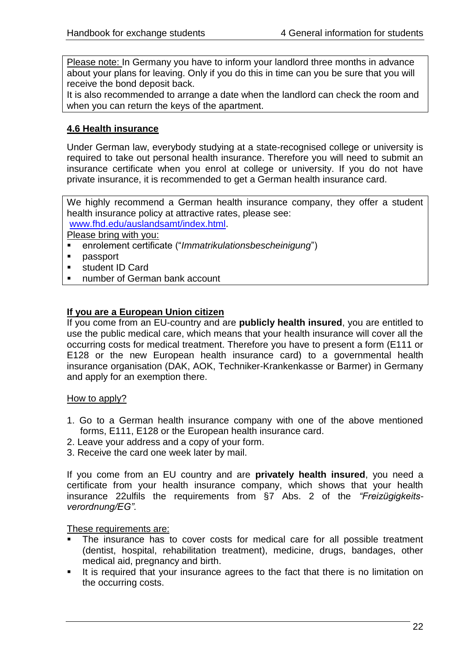Please note: In Germany you have to inform your landlord three months in advance about your plans for leaving. Only if you do this in time can you be sure that you will receive the bond deposit back.

It is also recommended to arrange a date when the landlord can check the room and when you can return the keys of the apartment.

#### <span id="page-21-0"></span>**4.6 Health insurance**

Under German law, everybody studying at a state-recognised college or university is required to take out personal health insurance. Therefore you will need to submit an insurance certificate when you enrol at college or university. If you do not have private insurance, it is recommended to get a German health insurance card.

We highly recommend a German health insurance company, they offer a student health insurance policy at attractive rates, please see: [www.fhd.edu/auslandsamt/index.html.](http://www.fhd.edu/auslandsamt/index.html)

Please bring with you:

- enrolement certificate ("*Immatrikulationsbescheinigung*")
- **passport**
- student ID Card
- number of German bank account

#### **If you are a European Union citizen**

If you come from an EU-country and are **publicly health insured**, you are entitled to use the public medical care, which means that your health insurance will cover all the occurring costs for medical treatment. Therefore you have to present a form (E111 or E128 or the new European health insurance card) to a governmental health insurance organisation (DAK, AOK, Techniker-Krankenkasse or Barmer) in Germany and apply for an exemption there.

#### How to apply?

- 1. Go to a German health insurance company with one of the above mentioned forms, E111, E128 or the European health insurance card.
- 2. Leave your address and a copy of your form.
- 3. Receive the card one week later by mail.

If you come from an EU country and are **privately health insured**, you need a certificate from your health insurance company, which shows that your health insurance 22ulfils the requirements from §7 Abs. 2 of the *"Freizügigkeitsverordnung/EG".*

#### These requirements are:

- The insurance has to cover costs for medical care for all possible treatment (dentist, hospital, rehabilitation treatment), medicine, drugs, bandages, other medical aid, pregnancy and birth.
- It is required that your insurance agrees to the fact that there is no limitation on the occurring costs.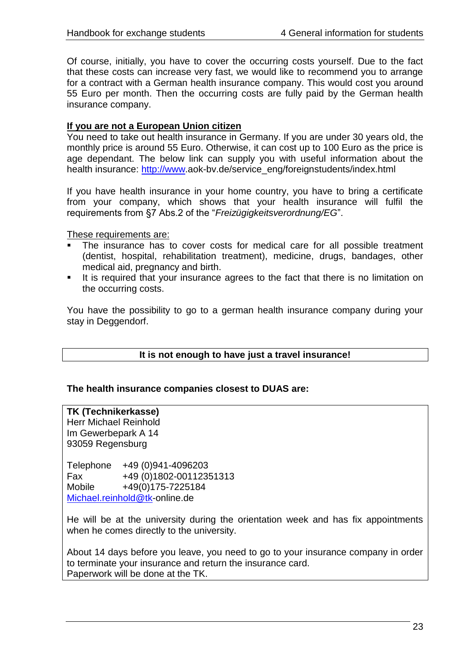Of course, initially, you have to cover the occurring costs yourself. Due to the fact that these costs can increase very fast, we would like to recommend you to arrange for a contract with a German health insurance company. This would cost you around 55 Euro per month. Then the occurring costs are fully paid by the German health insurance company.

#### **If you are not a European Union citizen**

You need to take out health insurance in Germany. If you are under 30 years old, the monthly price is around 55 Euro. Otherwise, it can cost up to 100 Euro as the price is age dependant. The below link can supply you with useful information about the health insurance: [http://www.](http://www/)aok-by.de/service\_eng/foreignstudents/index.html

If you have health insurance in your home country, you have to bring a certificate from your company, which shows that your health insurance will fulfil the requirements from §7 Abs.2 of the "*Freizügigkeitsverordnung/EG*".

These requirements are:

- The insurance has to cover costs for medical care for all possible treatment (dentist, hospital, rehabilitation treatment), medicine, drugs, bandages, other medical aid, pregnancy and birth.
- It is required that your insurance agrees to the fact that there is no limitation on the occurring costs.

You have the possibility to go to a german health insurance company during your stay in Deggendorf.

#### **It is not enough to have just a travel insurance!**

#### **The health insurance companies closest to DUAS are:**

#### **TK (Technikerkasse)** Herr Michael Reinhold Im Gewerbepark A 14

93059 Regensburg

Telephone +49 (0)941-4096203 Fax +49 (0)1802-00112351313 Mobile +49(0)175-7225184 [Michael.reinhold@tk-](mailto:Michael.reinhold@tk)online.de

He will be at the university during the orientation week and has fix appointments when he comes directly to the university.

About 14 days before you leave, you need to go to your insurance company in order to terminate your insurance and return the insurance card. Paperwork will be done at the TK.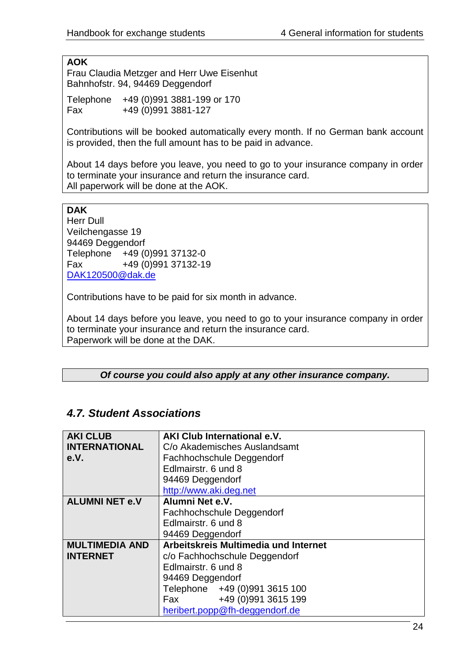#### **AOK**

Frau Claudia Metzger and Herr Uwe Eisenhut Bahnhofstr. 94, 94469 Deggendorf

Telephone +49 (0)991 3881-199 or 170 Fax +49 (0)991 3881-127

Contributions will be booked automatically every month. If no German bank account is provided, then the full amount has to be paid in advance.

About 14 days before you leave, you need to go to your insurance company in order to terminate your insurance and return the insurance card. All paperwork will be done at the AOK.

#### **DAK**

Herr Dull Veilchengasse 19 94469 Deggendorf Telephone +49 (0)991 37132-0 Fax +49 (0)991 37132-19 [DAK120500@dak.de](mailto:DAK120500@dak.de)

Contributions have to be paid for six month in advance.

About 14 days before you leave, you need to go to your insurance company in order to terminate your insurance and return the insurance card. Paperwork will be done at the DAK.

#### *Of course you could also apply at any other insurance company.*

# *4.7. Student Associations*

| <b>AKI CLUB</b>       | <b>AKI Club International e.V.</b>   |
|-----------------------|--------------------------------------|
| <b>INTERNATIONAL</b>  | C/o Akademisches Auslandsamt         |
| e.V.                  | Fachhochschule Deggendorf            |
|                       | Edlmairstr, 6 und 8                  |
|                       | 94469 Deggendorf                     |
|                       | http://www.aki.deg.net               |
| <b>ALUMNI NET e.V</b> | Alumni Net e.V.                      |
|                       | Fachhochschule Deggendorf            |
|                       | Edlmairstr, 6 und 8                  |
|                       | 94469 Deggendorf                     |
| <b>MULTIMEDIA AND</b> | Arbeitskreis Multimedia und Internet |
| <b>INTERNET</b>       | c/o Fachhochschule Deggendorf        |
|                       | Edlmairstr, 6 und 8                  |
|                       | 94469 Deggendorf                     |
|                       | Telephone +49 (0)991 3615 100        |
|                       | +49 (0)991 3615 199<br>Fax           |
|                       | heribert.popp@fh-deggendorf.de       |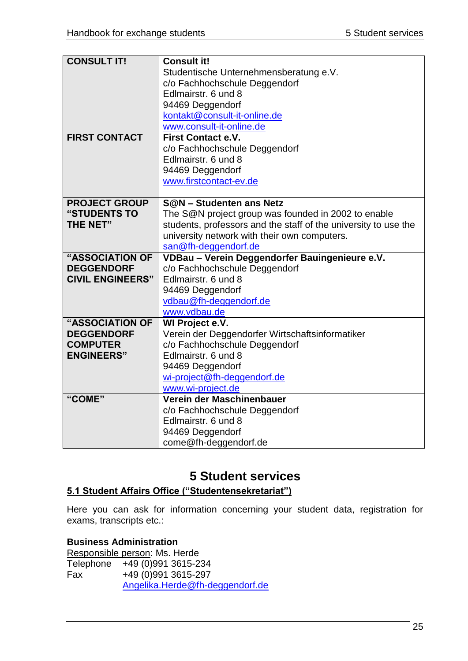| <b>CONSULT IT!</b>      | <b>Consult it!</b>                                              |
|-------------------------|-----------------------------------------------------------------|
|                         | Studentische Unternehmensberatung e.V.                          |
|                         | c/o Fachhochschule Deggendorf                                   |
|                         | Edlmairstr. 6 und 8                                             |
|                         | 94469 Deggendorf                                                |
|                         | kontakt@consult-it-online.de                                    |
|                         | www.consult-it-online.de                                        |
| <b>FIRST CONTACT</b>    | <b>First Contact e.V.</b>                                       |
|                         | c/o Fachhochschule Deggendorf                                   |
|                         | Edlmairstr, 6 und 8                                             |
|                         | 94469 Deggendorf                                                |
|                         | www.firstcontact-ev.de                                          |
|                         |                                                                 |
| <b>PROJECT GROUP</b>    | S@N - Studenten ans Netz                                        |
| "STUDENTS TO            | The S@N project group was founded in 2002 to enable             |
| <b>THE NET"</b>         | students, professors and the staff of the university to use the |
|                         | university network with their own computers.                    |
|                         | san@fh-deggendorf.de                                            |
|                         |                                                                 |
| "ASSOCIATION OF         | VDBau - Verein Deggendorfer Bauingenieure e.V.                  |
| <b>DEGGENDORF</b>       | c/o Fachhochschule Deggendorf                                   |
| <b>CIVIL ENGINEERS"</b> | Edlmairstr. 6 und 8                                             |
|                         | 94469 Deggendorf                                                |
|                         | vdbau@fh-deggendorf.de                                          |
|                         | www.vdbau.de                                                    |
| "ASSOCIATION OF         | WI Project e.V.                                                 |
| <b>DEGGENDORF</b>       | Verein der Deggendorfer Wirtschaftsinformatiker                 |
| <b>COMPUTER</b>         | c/o Fachhochschule Deggendorf                                   |
| <b>ENGINEERS"</b>       | Edlmairstr, 6 und 8                                             |
|                         | 94469 Deggendorf                                                |
|                         | wi-project@fh-deggendorf.de                                     |
|                         | www.wi-project.de                                               |
| "COME"                  | Verein der Maschinenbauer                                       |
|                         | c/o Fachhochschule Deggendorf                                   |
|                         | Edlmairstr, 6 und 8                                             |
|                         | 94469 Deggendorf<br>come@fh-deggendorf.de                       |

# **5 Student services**

# <span id="page-24-1"></span><span id="page-24-0"></span>**5.1 Student Affairs Office ("Studentensekretariat")**

Here you can ask for information concerning your student data, registration for exams, transcripts etc.:

# **Business Administration**

|     | Responsible person: Ms. Herde   |
|-----|---------------------------------|
|     | Telephone +49 (0)991 3615-234   |
| Fax | +49 (0) 991 3615-297            |
|     | Angelika.Herde@fh-deggendorf.de |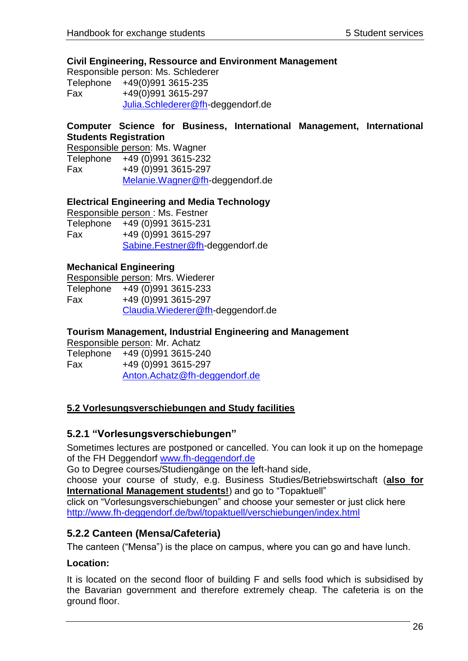#### **Civil Engineering, Ressource and Environment Management**

Responsible person: Ms. Schlederer Telephone +49(0)991 3615-235 Fax +49(0)991 3615-297 [Julia.Schlederer@fh-](mailto:Julia.Schlederer@fh)deggendorf.de

#### **Computer Science for Business, International Management, International Students Registration**

Responsible person: Ms. Wagner Telephone +49 (0)991 3615-232 Fax +49 (0)991 3615-297 [Melanie.Wagner@fh-](mailto:Melanie.Wagner@fh)deggendorf.de

#### **Electrical Engineering and Media Technology**

Responsible person : Ms. Festner Telephone +49 (0)991 3615-231 Fax +49 (0)991 3615-297 [Sabine.Festner@fh-](mailto:Sabine.Festner@fh)deggendorf.de

#### **Mechanical Engineering**

Responsible person: Mrs. Wiederer Telephone +49 (0)991 3615-233 Fax +49 (0)991 3615-297 [Claudia.Wiederer@fh-](mailto:Claudia.Wiederer@fh)deggendorf.de

#### **Tourism Management, Industrial Engineering and Management**

Responsible person: Mr. Achatz Telephone +49 (0)991 3615-240 Fax +49 (0)991 3615-297 [Anton.Achatz@fh-deggendorf.de](mailto:Anton.Achatz@fh-deggendorf.de)

#### <span id="page-25-0"></span>**5.2 Vorlesungsverschiebungen and Study facilities**

#### <span id="page-25-1"></span>**5.2.1 "Vorlesungsverschiebungen"**

Sometimes lectures are postponed or cancelled. You can look it up on the homepage of the FH Deggendorf [www.fh-deggendorf.de](http://www.fh-deggendorf.de/)

Go to Degree courses/Studiengänge on the left-hand side,

choose your course of study, e.g. Business Studies/Betriebswirtschaft (**also for International Management students!**) and go to "Topaktuell"

click on "Vorlesungsverschiebungen" and choose your semester or just click here <http://www.fh-deggendorf.de/bwl/topaktuell/verschiebungen/index.html>

# <span id="page-25-2"></span>**5.2.2 Canteen (Mensa/Cafeteria)**

The canteen ("Mensa") is the place on campus, where you can go and have lunch.

#### **Location:**

It is located on the second floor of building F and sells food which is subsidised by the Bavarian government and therefore extremely cheap. The cafeteria is on the ground floor.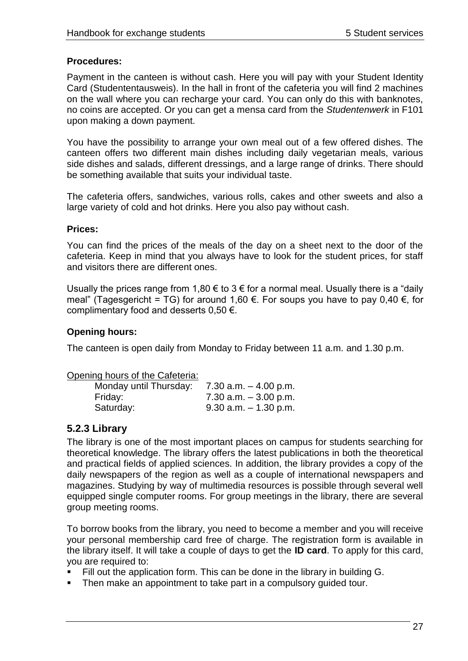#### **Procedures:**

Payment in the canteen is without cash. Here you will pay with your Student Identity Card (Studententausweis). In the hall in front of the cafeteria you will find 2 machines on the wall where you can recharge your card. You can only do this with banknotes, no coins are accepted. Or you can get a mensa card from the *Studentenwerk* in F101 upon making a down payment.

You have the possibility to arrange your own meal out of a few offered dishes. The canteen offers two different main dishes including daily vegetarian meals, various side dishes and salads, different dressings, and a large range of drinks. There should be something available that suits your individual taste.

The cafeteria offers, sandwiches, various rolls, cakes and other sweets and also a large variety of cold and hot drinks. Here you also pay without cash.

#### **Prices:**

You can find the prices of the meals of the day on a sheet next to the door of the cafeteria. Keep in mind that you always have to look for the student prices, for staff and visitors there are different ones.

Usually the prices range from 1,80 € to 3 € for a normal meal. Usually there is a "daily meal" (Tagesgericht = TG) for around 1,60 €. For soups you have to pay 0.40 €, for complimentary food and desserts  $0.50 \in$ .

#### **Opening hours:**

The canteen is open daily from Monday to Friday between 11 a.m. and 1.30 p.m.

#### Opening hours of the Cafeteria:

| Monday until Thursday: | 7.30 a.m. $-$ 4.00 p.m.  |
|------------------------|--------------------------|
| Friday:                | $7.30$ a.m. $-3.00$ p.m. |
| Saturday:              | $9.30$ a.m. $-1.30$ p.m. |

# <span id="page-26-0"></span>**5.2.3 Library**

The library is one of the most important places on campus for students searching for theoretical knowledge. The library offers the latest publications in both the theoretical and practical fields of applied sciences. In addition, the library provides a copy of the daily newspapers of the region as well as a couple of international newspapers and magazines. Studying by way of multimedia resources is possible through several well equipped single computer rooms. For group meetings in the library, there are several group meeting rooms.

To borrow books from the library, you need to become a member and you will receive your personal membership card free of charge. The registration form is available in the library itself. It will take a couple of days to get the **ID card**. To apply for this card, you are required to:

- Fill out the application form. This can be done in the library in building G.
- Then make an appointment to take part in a compulsory guided tour.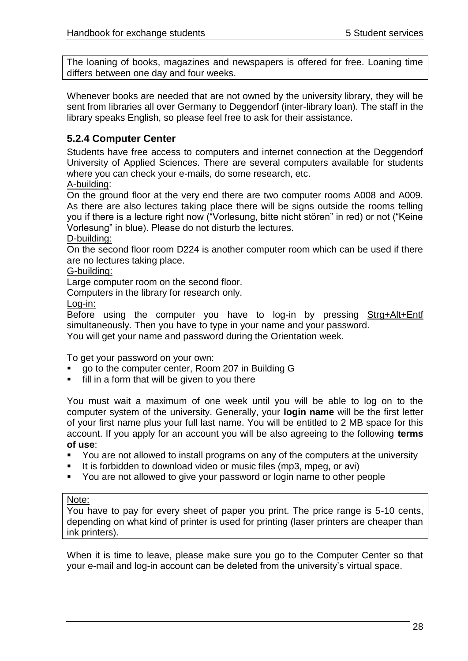The loaning of books, magazines and newspapers is offered for free. Loaning time differs between one day and four weeks.

Whenever books are needed that are not owned by the university library, they will be sent from libraries all over Germany to Deggendorf (inter-library loan). The staff in the library speaks English, so please feel free to ask for their assistance.

# <span id="page-27-0"></span>**5.2.4 Computer Center**

Students have free access to computers and internet connection at the Deggendorf University of Applied Sciences. There are several computers available for students where you can check your e-mails, do some research, etc.

#### A-building:

On the ground floor at the very end there are two computer rooms A008 and A009. As there are also lectures taking place there will be signs outside the rooms telling you if there is a lecture right now ("Vorlesung, bitte nicht stören" in red) or not ("Keine Vorlesung" in blue). Please do not disturb the lectures.

#### D-building:

On the second floor room D224 is another computer room which can be used if there are no lectures taking place.

#### G-building:

Large computer room on the second floor.

Computers in the library for research only.

Log-in:

Before using the computer you have to log-in by pressing Strg+Alt+Entf simultaneously. Then you have to type in your name and your password. You will get your name and password during the Orientation week.

To get your password on your own:

- go to the computer center, Room 207 in Building G
- fill in a form that will be given to you there

You must wait a maximum of one week until you will be able to log on to the computer system of the university. Generally, your **login name** will be the first letter of your first name plus your full last name. You will be entitled to 2 MB space for this account. If you apply for an account you will be also agreeing to the following **terms of use**:

- You are not allowed to install programs on any of the computers at the university
- It is forbidden to download video or music files (mp3, mpeg, or avi)
- You are not allowed to give your password or login name to other people

#### Note:

You have to pay for every sheet of paper you print. The price range is 5-10 cents, depending on what kind of printer is used for printing (laser printers are cheaper than ink printers).

When it is time to leave, please make sure you go to the Computer Center so that your e-mail and log-in account can be deleted from the university"s virtual space.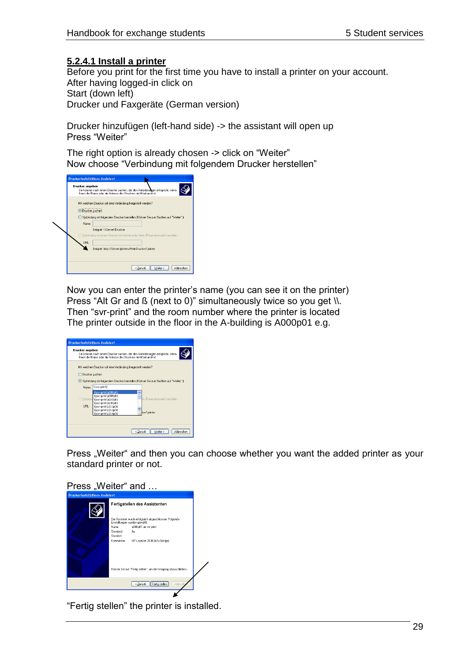#### **5.2.4.1 Install a printer**

Before you print for the first time you have to install a printer on your account. After having logged-in click on Start (down left) Drucker und Faxgeräte (German version)

Drucker hinzufügen (left-hand side) -> the assistant will open up Press "Weiter"

The right option is already chosen -> click on "Weiter" Now choose "Verbindung mit folgendem Drucker herstellen"

| <b>Druckerinstallations Assistent</b>                                                                                                                                                                                                                                                                                                                                 |
|-----------------------------------------------------------------------------------------------------------------------------------------------------------------------------------------------------------------------------------------------------------------------------------------------------------------------------------------------------------------------|
| Drucker angeben<br>Sie können nach einem Drucker suchen, der den Anforderungen entspricht, wenn<br>Ihnen der Name oder die Adresse des Druckers nicht bekannt ist                                                                                                                                                                                                     |
| Mit welchem Drucker soll eine Verbindung hergestellt werden?<br>O Drucker suchen<br>○ Verbindung mit folgendem Drucker herstellen (Klicken Sie zum Suchen auf "Weiter" ):<br>Name:<br>Beispiel: \\Server\Drucker<br>) Verbindung mit einem Drucker im Internet oder Heim-/Firmennetzwerk herstellen:<br>URL:<br>Beispiel: http://Server/printers/MeinDrucker/.printer |
| < Zurück<br>Weiter ><br>Abbrechen                                                                                                                                                                                                                                                                                                                                     |

Now you can enter the printer"s name (you can see it on the printer) Press "Alt Gr and ß (next to 0)" simultaneously twice so you get \\. Then "svr-print" and the room number where the printer is located The printer outside in the floor in the A-building is A000p01 e.g.

| <b>Druckerinstallations-Assistent</b>                                                                                                                                                                                                 |  |  |
|---------------------------------------------------------------------------------------------------------------------------------------------------------------------------------------------------------------------------------------|--|--|
| Drucker angeben<br>Sie können nach einem Drucker suchen, der den Anforderungen entspricht, wenn<br>Ihnen der Name oder die Adresse des Druckers nicht bekannt ist.                                                                    |  |  |
| Mit welchem Drucker soll eine Verbindung hergestellt werden?<br>O Drucker suchen<br>(.) Verbindung mit folgendem Drucker herstellen (Klicken Sie zum Suchen auf "Weiter".):<br><b>Nsyr-printy</b><br>Name:                            |  |  |
| \\svr-print\a000p01<br>́<br>lisyr-printla009p01<br>m-/Firmennetzwerk herstellen:<br>Verbindi, \\svr-print\a010p01<br>lisyr-printla103p01<br>URL:<br>\\svr-print\c211p01<br>\\svr-print\c212p01<br>ker/.printer<br>\\svr-print\c214p01 |  |  |
| Weiter ><br>Abbrechen<br>< Zurück                                                                                                                                                                                                     |  |  |

Press "Weiter" and then you can choose whether you want the added printer as your standard printer or not.



"Fertig stellen" the printer is installed.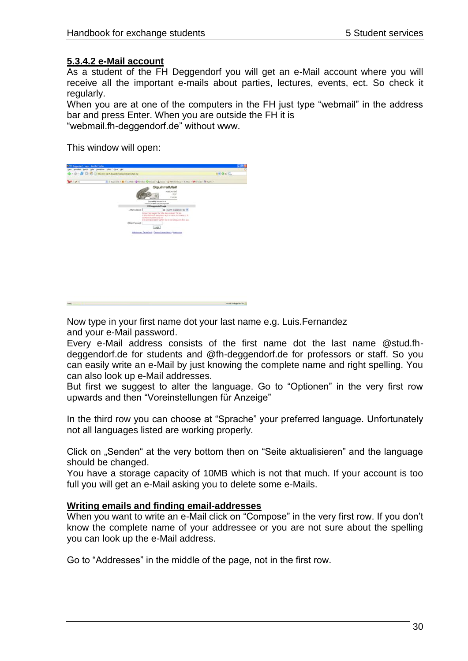#### **5.3.4.2 e-Mail account**

As a student of the FH Deggendorf you will get an e-Mail account where you will receive all the important e-mails about parties, lectures, events, ect. So check it regularly.

When you are at one of the computers in the FH just type "webmail" in the address bar and press Enter. When you are outside the FH it is "webmail.fh-deggendorf.de" without www.

This window will open:

pas patent part per position  $A = 0 - C$  $27.21$  $\frac{1}{2}$  is set areal/hispanishin (1)

Now type in your first name dot your last name e.g. Luis.Fernandez and your e-Mail password.

Every e-Mail address consists of the first name dot the last name @stud.fhdeggendorf.de for students and @fh-deggendorf.de for professors or staff. So you can easily write an e-Mail by just knowing the complete name and right spelling. You can also look up e-Mail addresses.

But first we suggest to alter the language. Go to "Optionen" in the very first row upwards and then "Voreinstellungen für Anzeige"

In the third row you can choose at "Sprache" your preferred language. Unfortunately not all languages listed are working properly.

Click on "Senden" at the very bottom then on "Seite aktualisieren" and the language should be changed.

You have a storage capacity of 10MB which is not that much. If your account is too full you will get an e-Mail asking you to delete some e-Mails.

#### **Writing emails and finding email-addresses**

When you want to write an e-Mail click on "Compose" in the very first row. If you don't know the complete name of your addressee or you are not sure about the spelling you can look up the e-Mail address.

Go to "Addresses" in the middle of the page, not in the first row.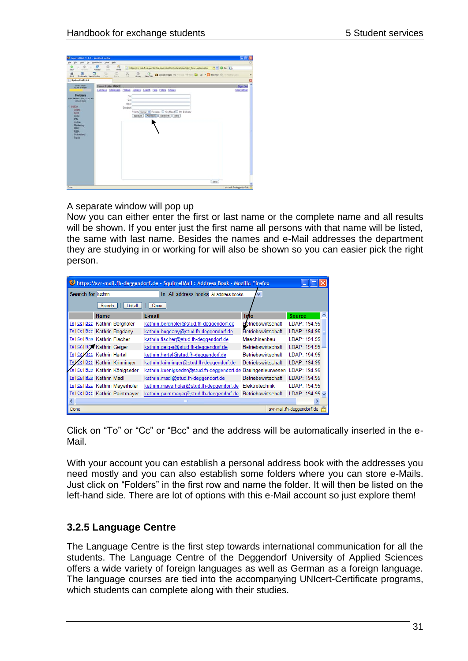

#### A separate window will pop up

Now you can either enter the first or last name or the complete name and all results will be shown. If you enter just the first name all persons with that name will be listed, the same with last name. Besides the names and e-Mail addresses the department they are studying in or working for will also be shown so you can easier pick the right person.

| bittps://svr-mail.fh-deggendorf.de - SquirrelMail: Address Book - Mozilla Firefox<br>$\sim$ |                                  |                                                                          |                           |                           |
|---------------------------------------------------------------------------------------------|----------------------------------|--------------------------------------------------------------------------|---------------------------|---------------------------|
| Search for kathrin                                                                          |                                  | All address books All address books<br>in.                               | v                         |                           |
|                                                                                             | Search<br>List all               | Close                                                                    |                           |                           |
|                                                                                             | <b>Name</b>                      | E-mail                                                                   | Info                      | <b>Source</b><br>∧        |
|                                                                                             | To   Cc   Bcc Kathrin Berghofer  | kathrin.berghofer@stud.fh-deggendorf.de                                  | Betriebswirtschaft        | LDAP: 194.95              |
|                                                                                             | To   Cc   Bcc Kathrin Bogdany    | kathrin.bogdany@stud.fh-deggendorf.de                                    | Betriebswirtschaft        | LDAP: 194.95              |
|                                                                                             | To   Cc   Bcc Kathrin Fischer    | kathrin.fischer@stud.fh-deggendorf.de                                    | Maschinenbau              | LDAP: 194.95              |
|                                                                                             | To I Col Box Kathrin Geiger      | kathrin.geiger@stud.fh-deggendorf.de                                     | Betriebswirtschaft        | LDAP: 194.95              |
|                                                                                             | To I Ccl Bcc Kathrin Hertel      | kathrin.hertel@stud.fh-deggendorf.de                                     | Betriebswirtschaft        | LDAP: 194.95              |
| $I$ o J                                                                                     | Col Boo Kathrin Krinninger       | kathrin.krinninger@stud.fh-deggendorf.de                                 | Betriebswirtschaft        | LDAP: 194.95              |
|                                                                                             | 10   Cc   Bcc Kathrin Königseder | kathrin.koenigseder@stud.fh-deggendorf.de Bauingenieurwesen LDAP: 194.95 |                           |                           |
|                                                                                             | To I Cc I Bcc Kathrin Madl       | kathrin.madl@stud.fh-deggendorf.de                                       | <b>Betriebswirtschaft</b> | LDAP: 194.95              |
|                                                                                             | To   Cc   Bcc Kathrin Mayerhofer | kathrin.mayerhofer@stud.fh-deggendorf.de                                 | Elektrotechnik            | LDAP: 194.95              |
|                                                                                             | To I Coll Boo Kathrin Paintmayer | kathrin.paintmayer@stud.fh-deggendorf.de                                 | Betriebswirtschaft        | LDAP: 194.95 $\vee$       |
| $\vert$ < $\vert$                                                                           |                                  | <b>IIII</b>                                                              |                           |                           |
| Done                                                                                        |                                  |                                                                          |                           | svr-mail.fh-deggendorf.de |

Click on "To" or "Cc" or "Bcc" and the address will be automatically inserted in the e-Mail.

With your account you can establish a personal address book with the addresses you need mostly and you can also establish some folders where you can store e-Mails. Just click on "Folders" in the first row and name the folder. It will then be listed on the left-hand side. There are lot of options with this e-Mail account so just explore them!

# <span id="page-30-0"></span>**3.2.5 Language Centre**

The Language Centre is the first step towards international communication for all the students. The Language Centre of the Deggendorf University of Applied Sciences offers a wide variety of foreign languages as well as German as a foreign language. The language courses are tied into the accompanying UNIcert-Certificate programs, which students can complete along with their studies.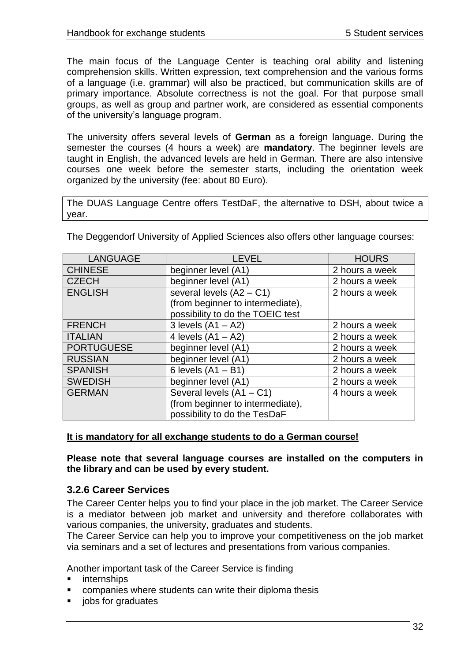The main focus of the Language Center is teaching oral ability and listening comprehension skills. Written expression, text comprehension and the various forms of a language (i.e. grammar) will also be practiced, but communication skills are of primary importance. Absolute correctness is not the goal. For that purpose small groups, as well as group and partner work, are considered as essential components of the university"s language program.

The university offers several levels of **German** as a foreign language. During the semester the courses (4 hours a week) are **mandatory**. The beginner levels are taught in English, the advanced levels are held in German. There are also intensive courses one week before the semester starts, including the orientation week organized by the university (fee: about 80 Euro).

The DUAS Language Centre offers TestDaF, the alternative to DSH, about twice a year.

| <b>LANGUAGE</b>   | <b>LEVEL</b>                     | <b>HOURS</b>   |
|-------------------|----------------------------------|----------------|
| <b>CHINESE</b>    | beginner level (A1)              | 2 hours a week |
| <b>CZECH</b>      | beginner level (A1)              | 2 hours a week |
| <b>ENGLISH</b>    | several levels $(A2 - C1)$       | 2 hours a week |
|                   | (from beginner to intermediate), |                |
|                   | possibility to do the TOEIC test |                |
| <b>FRENCH</b>     | 3 levels $(A1 - A2)$             | 2 hours a week |
| <b>ITALIAN</b>    | 4 levels $(A1 - A2)$             | 2 hours a week |
| <b>PORTUGUESE</b> | beginner level (A1)              | 2 hours a week |
| <b>RUSSIAN</b>    | beginner level (A1)              | 2 hours a week |
| <b>SPANISH</b>    | 6 levels $(A1 - B1)$             | 2 hours a week |
| <b>SWEDISH</b>    | beginner level (A1)              | 2 hours a week |
| <b>GERMAN</b>     | Several levels (A1 - C1)         | 4 hours a week |
|                   | (from beginner to intermediate), |                |
|                   | possibility to do the TesDaF     |                |

The Deggendorf University of Applied Sciences also offers other language courses:

# **It is mandatory for all exchange students to do a German course!**

**Please note that several language courses are installed on the computers in the library and can be used by every student.**

# <span id="page-31-0"></span>**3.2.6 Career Services**

The Career Center helps you to find your place in the job market. The Career Service is a mediator between job market and university and therefore collaborates with various companies, the university, graduates and students.

The Career Service can help you to improve your competitiveness on the job market via seminars and a set of lectures and presentations from various companies.

Another important task of the Career Service is finding

- internships
- companies where students can write their diploma thesis
- jobs for graduates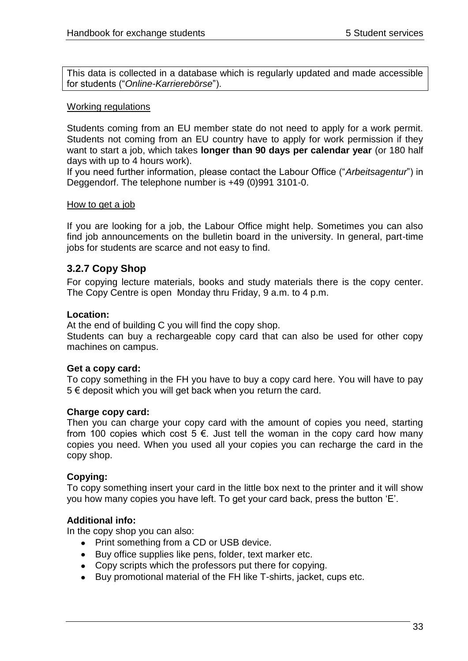This data is collected in a database which is regularly updated and made accessible for students ("*Online-Karrierebörse*").

#### Working regulations

Students coming from an EU member state do not need to apply for a work permit. Students not coming from an EU country have to apply for work permission if they want to start a job, which takes **longer than 90 days per calendar year** (or 180 half days with up to 4 hours work).

If you need further information, please contact the Labour Office ("*Arbeitsagentur*") in Deggendorf. The telephone number is +49 (0)991 3101-0.

#### How to get a job

If you are looking for a job, the Labour Office might help. Sometimes you can also find job announcements on the bulletin board in the university. In general, part-time jobs for students are scarce and not easy to find.

# <span id="page-32-0"></span>**3.2.7 Copy Shop**

For copying lecture materials, books and study materials there is the copy center. The Copy Centre is open Monday thru Friday, 9 a.m. to 4 p.m.

#### **Location:**

At the end of building C you will find the copy shop.

Students can buy a rechargeable copy card that can also be used for other copy machines on campus.

#### **Get a copy card:**

To copy something in the FH you have to buy a copy card here. You will have to pay 5 € deposit which you will get back when you return the card.

#### **Charge copy card:**

Then you can charge your copy card with the amount of copies you need, starting from 100 copies which cost 5  $\epsilon$ . Just tell the woman in the copy card how many copies you need. When you used all your copies you can recharge the card in the copy shop.

#### **Copying:**

To copy something insert your card in the little box next to the printer and it will show you how many copies you have left. To get your card back, press the button "E".

#### **Additional info:**

In the copy shop you can also:

- Print something from a CD or USB device.
- Buy office supplies like pens, folder, text marker etc.
- Copy scripts which the professors put there for copying.
- Buy promotional material of the FH like T-shirts, jacket, cups etc.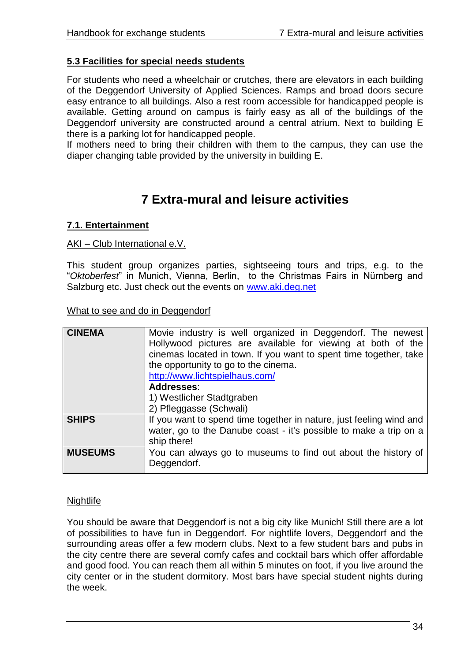#### <span id="page-33-0"></span>**5.3 Facilities for special needs students**

For students who need a wheelchair or crutches, there are elevators in each building of the Deggendorf University of Applied Sciences. Ramps and broad doors secure easy entrance to all buildings. Also a rest room accessible for handicapped people is available. Getting around on campus is fairly easy as all of the buildings of the Deggendorf university are constructed around a central atrium. Next to building E there is a parking lot for handicapped people.

If mothers need to bring their children with them to the campus, they can use the diaper changing table provided by the university in building E.

# **7 Extra-mural and leisure activities**

#### <span id="page-33-2"></span><span id="page-33-1"></span>**7.1. Entertainment**

#### AKI – Club International e.V.

This student group organizes parties, sightseeing tours and trips, e.g. to the "*Oktoberfest*" in Munich, Vienna, Berlin, to the Christmas Fairs in Nürnberg and Salzburg etc. Just check out the events on [www.aki.deg.net](http://www.aki.deg.net/)

What to see and do in Deggendorf

| <b>CINEMA</b>  | Movie industry is well organized in Deggendorf. The newest<br>Hollywood pictures are available for viewing at both of the<br>cinemas located in town. If you want to spent time together, take<br>the opportunity to go to the cinema.<br>http://www.lichtspielhaus.com/<br>Addresses:<br>1) Westlicher Stadtgraben<br>2) Pfleggasse (Schwali) |
|----------------|------------------------------------------------------------------------------------------------------------------------------------------------------------------------------------------------------------------------------------------------------------------------------------------------------------------------------------------------|
| <b>SHIPS</b>   | If you want to spend time together in nature, just feeling wind and<br>water, go to the Danube coast - it's possible to make a trip on a<br>ship there!                                                                                                                                                                                        |
| <b>MUSEUMS</b> | You can always go to museums to find out about the history of<br>Deggendorf.                                                                                                                                                                                                                                                                   |

#### **Nightlife**

You should be aware that Deggendorf is not a big city like Munich! Still there are a lot of possibilities to have fun in Deggendorf. For nightlife lovers, Deggendorf and the surrounding areas offer a few modern clubs. Next to a few student bars and pubs in the city centre there are several comfy cafes and cocktail bars which offer affordable and good food. You can reach them all within 5 minutes on foot, if you live around the city center or in the student dormitory. Most bars have special student nights during the week.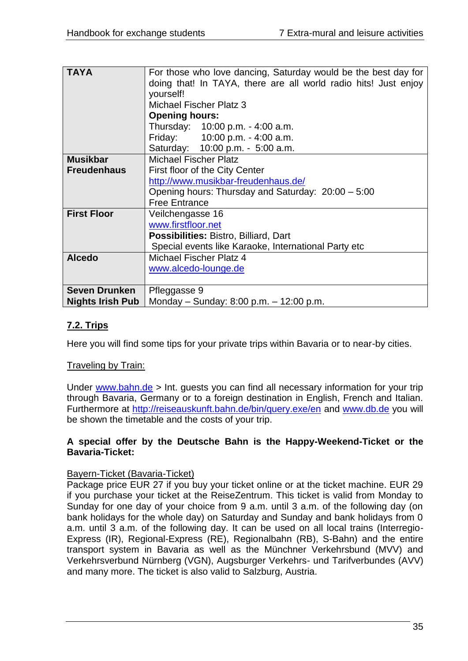| <b>TAYA</b>             | For those who love dancing, Saturday would be the best day for<br>doing that! In TAYA, there are all world radio hits! Just enjoy<br>yourself!<br><b>Michael Fischer Platz 3</b> |  |  |
|-------------------------|----------------------------------------------------------------------------------------------------------------------------------------------------------------------------------|--|--|
|                         | <b>Opening hours:</b><br>Thursday: 10:00 p.m. - 4:00 a.m.                                                                                                                        |  |  |
|                         | Friday: 10:00 p.m. - 4:00 a.m.                                                                                                                                                   |  |  |
|                         | Saturday: 10:00 p.m. - 5:00 a.m.                                                                                                                                                 |  |  |
| <b>Musikbar</b>         | <b>Michael Fischer Platz</b>                                                                                                                                                     |  |  |
| <b>Freudenhaus</b>      | First floor of the City Center                                                                                                                                                   |  |  |
|                         | http://www.musikbar-freudenhaus.de/                                                                                                                                              |  |  |
|                         | Opening hours: Thursday and Saturday: 20:00 - 5:00                                                                                                                               |  |  |
|                         | <b>Free Entrance</b>                                                                                                                                                             |  |  |
| <b>First Floor</b>      | Veilchengasse 16                                                                                                                                                                 |  |  |
|                         | www.firstfloor.net                                                                                                                                                               |  |  |
|                         | Possibilities: Bistro, Billiard, Dart                                                                                                                                            |  |  |
|                         | Special events like Karaoke, International Party etc                                                                                                                             |  |  |
| <b>Alcedo</b>           | Michael Fischer Platz 4                                                                                                                                                          |  |  |
|                         | www.alcedo-lounge.de                                                                                                                                                             |  |  |
|                         |                                                                                                                                                                                  |  |  |
| <b>Seven Drunken</b>    | Pfleggasse 9                                                                                                                                                                     |  |  |
| <b>Nights Irish Pub</b> | Monday – Sunday: 8:00 p.m. – 12:00 p.m.                                                                                                                                          |  |  |

# <span id="page-34-0"></span>**7.2. Trips**

Here you will find some tips for your private trips within Bavaria or to near-by cities.

#### Traveling by Train:

Under [www.bahn.de](http://www.bahn.de/) > Int. guests you can find all necessary information for your trip through Bavaria, Germany or to a foreign destination in English, French and Italian. Furthermore at<http://reiseauskunft.bahn.de/bin/query.exe/en> and www.db.de you will be shown the timetable and the costs of your trip.

#### **A special offer by the Deutsche Bahn is the Happy-Weekend-Ticket or the Bavaria-Ticket:**

#### Bayern-Ticket (Bavaria-Ticket)

Package price EUR 27 if you buy your ticket online or at the ticket machine. EUR 29 if you purchase your ticket at the ReiseZentrum. This ticket is valid from Monday to Sunday for one day of your choice from 9 a.m. until 3 a.m. of the following day (on bank holidays for the whole day) on Saturday and Sunday and bank holidays from 0 a.m. until 3 a.m. of the following day. It can be used on all local trains (Interregio-Express (IR), Regional-Express (RE), Regionalbahn (RB), S-Bahn) and the entire transport system in Bavaria as well as the Münchner Verkehrsbund (MVV) and Verkehrsverbund Nürnberg (VGN), Augsburger Verkehrs- und Tarifverbundes (AVV) and many more. The ticket is also valid to Salzburg, Austria.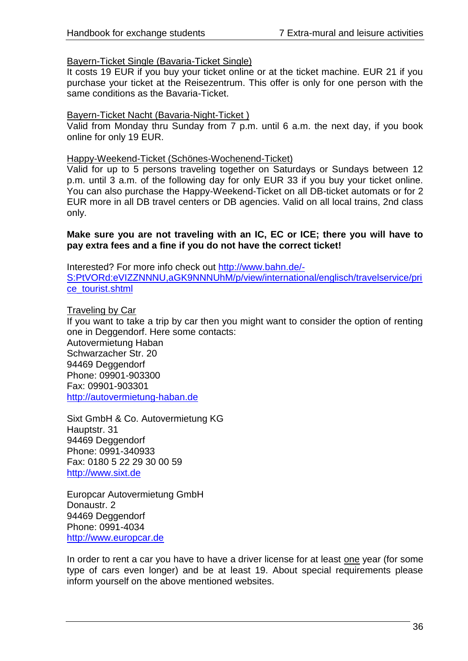#### Bayern-Ticket Single (Bavaria-Ticket Single)

It costs 19 EUR if you buy your ticket online or at the ticket machine. EUR 21 if you purchase your ticket at the Reisezentrum. This offer is only for one person with the same conditions as the Bavaria-Ticket.

#### Bayern-Ticket Nacht (Bavaria-Night-Ticket )

Valid from Monday thru Sunday from 7 p.m. until 6 a.m. the next day, if you book online for only 19 EUR.

#### Happy-Weekend-Ticket (Schönes-Wochenend-Ticket)

Valid for up to 5 persons traveling together on Saturdays or Sundays between 12 p.m. until 3 a.m. of the following day for only EUR 33 if you buy your ticket online. You can also purchase the Happy-Weekend-Ticket on all DB-ticket automats or for 2 EUR more in all DB travel centers or DB agencies. Valid on all local trains, 2nd class only.

#### **Make sure you are not traveling with an IC, EC or ICE; there you will have to pay extra fees and a fine if you do not have the correct ticket!**

Interested? For more info check out [http://www.bahn.de/-](http://www.bahn.de/-S:PtVORd:eVIZZNNNU,aGK9NNNUhM/p/view/international/englisch/travelservice/price_tourist.shtml) [S:PtVORd:eVIZZNNNU,aGK9NNNUhM/p/view/international/englisch/travelservice/pri](http://www.bahn.de/-S:PtVORd:eVIZZNNNU,aGK9NNNUhM/p/view/international/englisch/travelservice/price_tourist.shtml) [ce\\_tourist.shtml](http://www.bahn.de/-S:PtVORd:eVIZZNNNU,aGK9NNNUhM/p/view/international/englisch/travelservice/price_tourist.shtml)

#### Traveling by Car

If you want to take a trip by car then you might want to consider the option of renting one in Deggendorf. Here some contacts: Autovermietung Haban Schwarzacher Str. 20 94469 Deggendorf Phone: 09901-903300 Fax: 09901-903301 [http://autovermietung-haban.de](http://autovermietung-haban.de/)

Sixt GmbH & Co. Autovermietung KG Hauptstr. 31 94469 Deggendorf Phone: 0991-340933 Fax: 0180 5 22 29 30 00 59 [http://www.sixt.de](http://www.sixt.de/)

Europcar Autovermietung GmbH Donaustr. 2 94469 Deggendorf Phone: 0991-4034 [http://www.europcar.de](http://www.europcar.de/)

In order to rent a car you have to have a driver license for at least one year (for some type of cars even longer) and be at least 19. About special requirements please inform yourself on the above mentioned websites.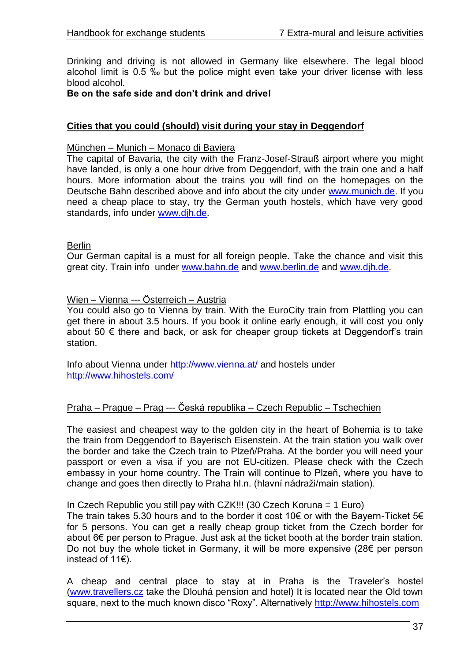Drinking and driving is not allowed in Germany like elsewhere. The legal blood alcohol limit is 0.5 ‰ but the police might even take your driver license with less blood alcohol.

#### **Be on the safe side and don't drink and drive!**

#### **Cities that you could (should) visit during your stay in Deggendorf**

#### München – Munich – Monaco di Baviera

The capital of Bavaria, the city with the Franz-Josef-Strauß airport where you might have landed, is only a one hour drive from Deggendorf, with the train one and a half hours. More information about the trains you will find on the homepages on the Deutsche Bahn described above and info about the city under [www.munich.de.](http://www.munich.de/) If you need a cheap place to stay, try the German youth hostels, which have very good standards, info under [www.djh.de.](http://www.djh.de/)

#### **Berlin**

Our German capital is a must for all foreign people. Take the chance and visit this great city. Train info under [www.bahn.de](http://www.bahn.de/) and [www.berlin.de](http://www.berlin.de/) and [www.djh.de.](http://www.djh.de/)

#### Wien – Vienna --- Österreich – Austria

You could also go to Vienna by train. With the EuroCity train from Plattling you can get there in about 3.5 hours. If you book it online early enough, it will cost you only about 50  $\epsilon$  there and back, or ask for cheaper group tickets at Deggendorf's train station.

Info about Vienna under<http://www.vienna.at/> and hostels under <http://www.hihostels.com/>

#### Praha – Prague – Prag --- Česká republika – Czech Republic – Tschechien

The easiest and cheapest way to the golden city in the heart of Bohemia is to take the train from Deggendorf to Bayerisch Eisenstein. At the train station you walk over the border and take the Czech train to Plzeň/Praha. At the border you will need your passport or even a visa if you are not EU-citizen. Please check with the Czech embassy in your home country. The Train will continue to Plzeň, where you have to change and goes then directly to Praha hl.n. (hlavní nádraži/main station).

In Czech Republic you still pay with CZK!!! (30 Czech Koruna = 1 Euro)

The train takes 5.30 hours and to the border it cost 10€ or with the Bayern-Ticket 5€ for 5 persons. You can get a really cheap group ticket from the Czech border for about 6€ per person to Prague. Just ask at the ticket booth at the border train station. Do not buy the whole ticket in Germany, it will be more expensive (28€ per person instead of 11€).

A cheap and central place to stay at in Praha is the Traveler"s hostel [\(www.travellers.cz](http://www.travellers.cz/) take the Dlouhá pension and hotel) It is located near the Old town square, next to the much known disco "Roxy". Alternatively [http://www.hihostels.com](http://www.hihostels.com/)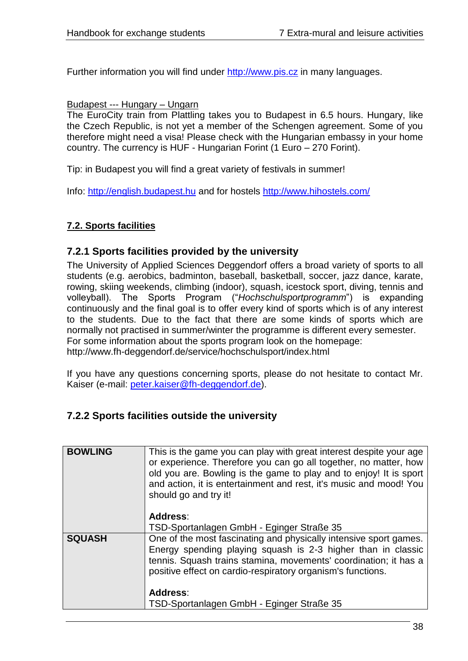Further information you will find under [http://www.pis.cz](http://www.pis.cz/) in many languages.

#### Budapest --- Hungary – Ungarn

The EuroCity train from Plattling takes you to Budapest in 6.5 hours. Hungary, like the Czech Republic, is not yet a member of the Schengen agreement. Some of you therefore might need a visa! Please check with the Hungarian embassy in your home country. The currency is HUF - Hungarian Forint (1 Euro – 270 Forint).

Tip: in Budapest you will find a great variety of festivals in summer!

Info: [http://english.budapest.hu](http://english.budapest.hu/) and for hostels<http://www.hihostels.com/>

# <span id="page-37-0"></span>**7.2. Sports facilities**

## <span id="page-37-1"></span>**7.2.1 Sports facilities provided by the university**

The University of Applied Sciences Deggendorf offers a broad variety of sports to all students (e.g. aerobics, badminton, baseball, basketball, soccer, jazz dance, karate, rowing, skiing weekends, climbing (indoor), squash, icestock sport, diving, tennis and volleyball). The Sports Program ("*Hochschulsportprogramm*") is expanding continuously and the final goal is to offer every kind of sports which is of any interest to the students. Due to the fact that there are some kinds of sports which are normally not practised in summer/winter the programme is different every semester. For some information about the sports program look on the homepage: http://www.fh-deggendorf.de/service/hochschulsport/index.html

If you have any questions concerning sports, please do not hesitate to contact Mr. Kaiser (e-mail: [peter.kaiser@fh-deggendorf.de\)](mailto:peter.kaiser@fh-deggendorf.de).

# <span id="page-37-2"></span>**7.2.2 Sports facilities outside the university**

| <b>BOWLING</b> | This is the game you can play with great interest despite your age<br>or experience. Therefore you can go all together, no matter, how<br>old you are. Bowling is the game to play and to enjoy! It is sport<br>and action, it is entertainment and rest, it's music and mood! You<br>should go and try it!<br>Address: |
|----------------|-------------------------------------------------------------------------------------------------------------------------------------------------------------------------------------------------------------------------------------------------------------------------------------------------------------------------|
|                | TSD-Sportanlagen GmbH - Eginger Straße 35                                                                                                                                                                                                                                                                               |
|                |                                                                                                                                                                                                                                                                                                                         |
| <b>SQUASH</b>  | One of the most fascinating and physically intensive sport games.<br>Energy spending playing squash is 2-3 higher than in classic<br>tennis. Squash trains stamina, movements' coordination; it has a<br>positive effect on cardio-respiratory organism's functions.                                                    |
|                | Address:                                                                                                                                                                                                                                                                                                                |
|                | TSD-Sportanlagen GmbH - Eginger Straße 35                                                                                                                                                                                                                                                                               |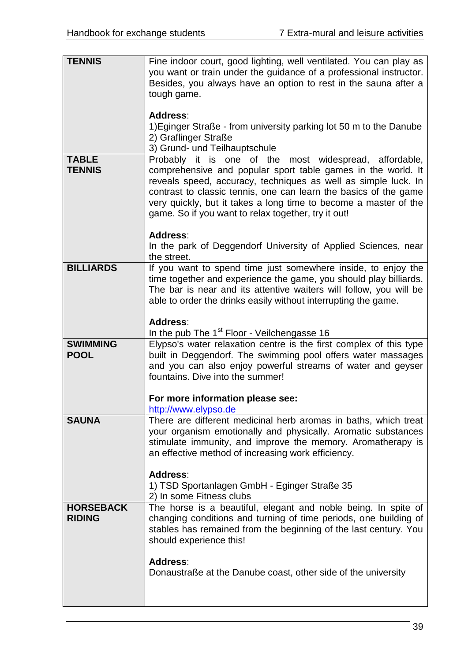| <b>TENNIS</b>                     | Fine indoor court, good lighting, well ventilated. You can play as<br>you want or train under the guidance of a professional instructor.<br>Besides, you always have an option to rest in the sauna after a<br>tough game.<br>Address:<br>1) Eginger Straße - from university parking lot 50 m to the Danube<br>2) Graflinger Straße                                                    |
|-----------------------------------|-----------------------------------------------------------------------------------------------------------------------------------------------------------------------------------------------------------------------------------------------------------------------------------------------------------------------------------------------------------------------------------------|
|                                   | 3) Grund- und Teilhauptschule                                                                                                                                                                                                                                                                                                                                                           |
| <b>TABLE</b><br><b>TENNIS</b>     | Probably it is one of the most widespread, affordable,<br>comprehensive and popular sport table games in the world. It<br>reveals speed, accuracy, techniques as well as simple luck. In<br>contrast to classic tennis, one can learn the basics of the game<br>very quickly, but it takes a long time to become a master of the<br>game. So if you want to relax together, try it out! |
|                                   | Address:<br>In the park of Deggendorf University of Applied Sciences, near<br>the street.                                                                                                                                                                                                                                                                                               |
| <b>BILLIARDS</b>                  | If you want to spend time just somewhere inside, to enjoy the<br>time together and experience the game, you should play billiards.<br>The bar is near and its attentive waiters will follow, you will be<br>able to order the drinks easily without interrupting the game.                                                                                                              |
|                                   | Address:<br>In the pub The 1 <sup>st</sup> Floor - Veilchengasse 16                                                                                                                                                                                                                                                                                                                     |
| <b>SWIMMING</b><br><b>POOL</b>    | Elypso's water relaxation centre is the first complex of this type<br>built in Deggendorf. The swimming pool offers water massages<br>and you can also enjoy powerful streams of water and geyser<br>fountains. Dive into the summer!                                                                                                                                                   |
|                                   | For more information please see:<br>http://www.elypso.de                                                                                                                                                                                                                                                                                                                                |
| <b>SAUNA</b>                      | There are different medicinal herb aromas in baths, which treat<br>your organism emotionally and physically. Aromatic substances<br>stimulate immunity, and improve the memory. Aromatherapy is<br>an effective method of increasing work efficiency.                                                                                                                                   |
|                                   | Address:<br>1) TSD Sportanlagen GmbH - Eginger Straße 35<br>2) In some Fitness clubs                                                                                                                                                                                                                                                                                                    |
| <b>HORSEBACK</b><br><b>RIDING</b> | The horse is a beautiful, elegant and noble being. In spite of<br>changing conditions and turning of time periods, one building of<br>stables has remained from the beginning of the last century. You<br>should experience this!                                                                                                                                                       |
|                                   | Address:<br>Donaustraße at the Danube coast, other side of the university                                                                                                                                                                                                                                                                                                               |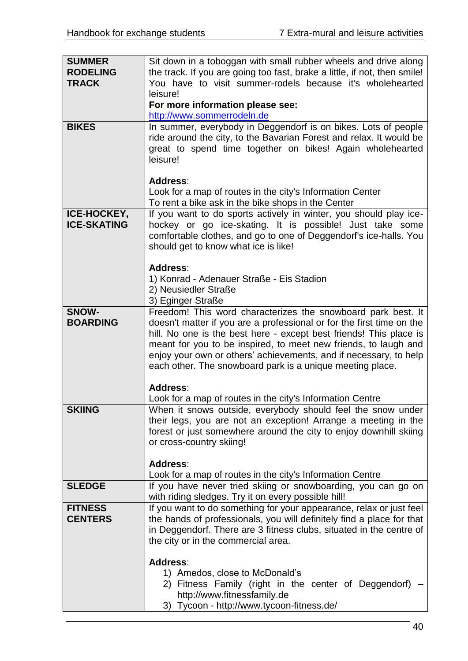| <b>SUMMER</b>      | Sit down in a toboggan with small rubber wheels and drive along                                           |  |  |
|--------------------|-----------------------------------------------------------------------------------------------------------|--|--|
| <b>RODELING</b>    | the track. If you are going too fast, brake a little, if not, then smile!                                 |  |  |
| <b>TRACK</b>       | You have to visit summer-rodels because it's wholehearted                                                 |  |  |
|                    | leisure!                                                                                                  |  |  |
|                    | For more information please see:                                                                          |  |  |
|                    | http://www.sommerrodeln.de                                                                                |  |  |
| <b>BIKES</b>       | In summer, everybody in Deggendorf is on bikes. Lots of people                                            |  |  |
|                    | ride around the city, to the Bavarian Forest and relax. It would be                                       |  |  |
|                    | great to spend time together on bikes! Again wholehearted                                                 |  |  |
|                    | leisure!                                                                                                  |  |  |
|                    |                                                                                                           |  |  |
|                    | <b>Address:</b>                                                                                           |  |  |
|                    | Look for a map of routes in the city's Information Center                                                 |  |  |
|                    | To rent a bike ask in the bike shops in the Center                                                        |  |  |
| <b>ICE-HOCKEY,</b> | If you want to do sports actively in winter, you should play ice-                                         |  |  |
| <b>ICE-SKATING</b> | hockey or go ice-skating. It is possible! Just take some                                                  |  |  |
|                    | comfortable clothes, and go to one of Deggendorf's ice-halls. You<br>should get to know what ice is like! |  |  |
|                    |                                                                                                           |  |  |
|                    | <b>Address:</b>                                                                                           |  |  |
|                    | 1) Konrad - Adenauer Straße - Eis Stadion                                                                 |  |  |
|                    | 2) Neusiedler Straße                                                                                      |  |  |
|                    | 3) Eginger Straße                                                                                         |  |  |
| SNOW-              | Freedom! This word characterizes the snowboard park best. It                                              |  |  |
| <b>BOARDING</b>    | doesn't matter if you are a professional or for the first time on the                                     |  |  |
|                    | hill. No one is the best here - except best friends! This place is                                        |  |  |
|                    | meant for you to be inspired, to meet new friends, to laugh and                                           |  |  |
|                    | enjoy your own or others' achievements, and if necessary, to help                                         |  |  |
|                    | each other. The snowboard park is a unique meeting place.                                                 |  |  |
|                    | Address:                                                                                                  |  |  |
|                    | Look for a map of routes in the city's Information Centre                                                 |  |  |
| <b>SKIING</b>      | When it snows outside, everybody should feel the snow under                                               |  |  |
|                    | their legs, you are not an exception! Arrange a meeting in the                                            |  |  |
|                    | forest or just somewhere around the city to enjoy downhill skiing                                         |  |  |
|                    | or cross-country skiing!                                                                                  |  |  |
|                    |                                                                                                           |  |  |
|                    | Address:                                                                                                  |  |  |
|                    | Look for a map of routes in the city's Information Centre                                                 |  |  |
| <b>SLEDGE</b>      | If you have never tried skiing or snowboarding, you can go on                                             |  |  |
|                    | with riding sledges. Try it on every possible hill!                                                       |  |  |
| <b>FITNESS</b>     | If you want to do something for your appearance, relax or just feel                                       |  |  |
| <b>CENTERS</b>     | the hands of professionals, you will definitely find a place for that                                     |  |  |
|                    | in Deggendorf. There are 3 fitness clubs, situated in the centre of                                       |  |  |
|                    | the city or in the commercial area.                                                                       |  |  |
|                    | <b>Address:</b>                                                                                           |  |  |
|                    | 1) Amedos, close to McDonald's                                                                            |  |  |
|                    | 2) Fitness Family (right in the center of Deggendorf)                                                     |  |  |
|                    | http://www.fitnessfamily.de                                                                               |  |  |
|                    | 3) Tycoon - http://www.tycoon-fitness.de/                                                                 |  |  |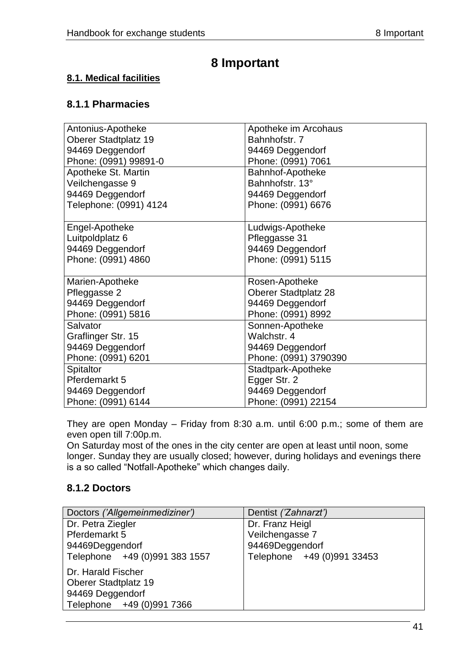# **8 Important**

# <span id="page-40-1"></span><span id="page-40-0"></span>**8.1. Medical facilities**

# <span id="page-40-2"></span>**8.1.1 Pharmacies**

| Antonius-Apotheke      | Apotheke im Arcohaus        |  |
|------------------------|-----------------------------|--|
| Oberer Stadtplatz 19   | Bahnhofstr. 7               |  |
| 94469 Deggendorf       | 94469 Deggendorf            |  |
| Phone: (0991) 99891-0  | Phone: (0991) 7061          |  |
| Apotheke St. Martin    | Bahnhof-Apotheke            |  |
| Veilchengasse 9        | Bahnhofstr, 13°             |  |
| 94469 Deggendorf       | 94469 Deggendorf            |  |
| Telephone: (0991) 4124 | Phone: (0991) 6676          |  |
|                        |                             |  |
| Engel-Apotheke         | Ludwigs-Apotheke            |  |
| Luitpoldplatz 6        | Pfleggasse 31               |  |
| 94469 Deggendorf       | 94469 Deggendorf            |  |
| Phone: (0991) 4860     | Phone: (0991) 5115          |  |
|                        |                             |  |
| Marien-Apotheke        | Rosen-Apotheke              |  |
| Pfleggasse 2           | <b>Oberer Stadtplatz 28</b> |  |
| 94469 Deggendorf       | 94469 Deggendorf            |  |
| Phone: (0991) 5816     | Phone: (0991) 8992          |  |
| Salvator               | Sonnen-Apotheke             |  |
| Graflinger Str. 15     | Walchstr, 4                 |  |
| 94469 Deggendorf       | 94469 Deggendorf            |  |
| Phone: (0991) 6201     | Phone: (0991) 3790390       |  |
| <b>Spitaltor</b>       | Stadtpark-Apotheke          |  |
| Pferdemarkt 5          | Egger Str. 2                |  |
| 94469 Deggendorf       | 94469 Deggendorf            |  |
| Phone: (0991) 6144     | Phone: (0991) 22154         |  |

They are open Monday – Friday from 8:30 a.m. until 6:00 p.m.; some of them are even open till 7:00p.m.

On Saturday most of the ones in the city center are open at least until noon, some longer. Sunday they are usually closed; however, during holidays and evenings there is a so called "Notfall-Apotheke" which changes daily.

# <span id="page-40-3"></span>**8.1.2 Doctors**

| Doctors ('Allgemeinmediziner') | Dentist ('Zahnarzt')       |  |  |
|--------------------------------|----------------------------|--|--|
| Dr. Petra Ziegler              | Dr. Franz Heigl            |  |  |
| Pferdemarkt 5                  | Veilchengasse 7            |  |  |
| 94469Deggendorf                | 94469Deggendorf            |  |  |
| Telephone +49 (0)991 383 1557  | Telephone +49 (0)991 33453 |  |  |
| Dr. Harald Fischer             |                            |  |  |
| <b>Oberer Stadtplatz 19</b>    |                            |  |  |
| 94469 Deggendorf               |                            |  |  |
| Telephone +49 (0)991 7366      |                            |  |  |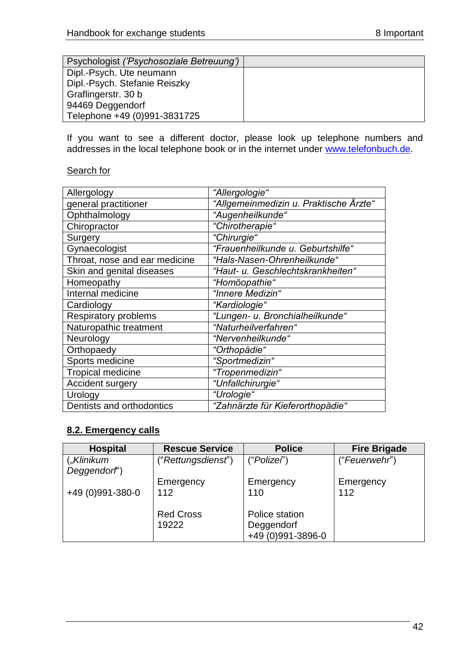| Psychologist ('Psychosoziale Betreuung') |  |
|------------------------------------------|--|
| Dipl.-Psych. Ute neumann                 |  |
| Dipl.-Psych. Stefanie Reiszky            |  |
| Graflingerstr. 30 b                      |  |
| 94469 Deggendorf                         |  |
| Telephone +49 (0)991-3831725             |  |

If you want to see a different doctor, please look up telephone numbers and addresses in the local telephone book or in the internet under [www.telefonbuch.de.](http://www.telefonbuch.de/)

#### Search for

| Allergology                   | "Allergologie"                         |  |  |
|-------------------------------|----------------------------------------|--|--|
| general practitioner          | "Allgemeinmedizin u. Praktische Ärzte" |  |  |
| Ophthalmology                 | "Augenheilkunde"                       |  |  |
| Chiropractor                  | "Chirotherapie"                        |  |  |
| Surgery                       | "Chirurgie"                            |  |  |
| Gynaecologist                 | "Frauenheilkunde u. Geburtshilfe"      |  |  |
| Throat, nose and ear medicine | "Hals-Nasen-Ohrenheilkunde"            |  |  |
| Skin and genital diseases     | "Haut- u. Geschlechtskrankheiten"      |  |  |
| Homeopathy                    | "Homöopathie"                          |  |  |
| Internal medicine             | "Innere Medizin"                       |  |  |
| Cardiology                    | "Kardiologie"                          |  |  |
| <b>Respiratory problems</b>   | "Lungen- u. Bronchialheilkunde"        |  |  |
| Naturopathic treatment        | "Naturheilverfahren"                   |  |  |
| Neurology                     | "Nervenheilkunde"                      |  |  |
| Orthopaedy                    | "Orthopädie"                           |  |  |
| Sports medicine               | "Sportmedizin"                         |  |  |
| <b>Tropical medicine</b>      | "Tropenmedizin"                        |  |  |
| <b>Accident surgery</b>       | "Unfallchirurgie"                      |  |  |
| Urology                       | "Urologie"                             |  |  |
| Dentists and orthodontics     | "Zahnärzte für Kieferorthopädie"       |  |  |

# <span id="page-41-0"></span>**8.2. Emergency calls**

| <b>Hospital</b>  | <b>Rescue Service</b> | <b>Police</b>     | <b>Fire Brigade</b> |
|------------------|-----------------------|-------------------|---------------------|
| ("Klinikum       | ("Rettungsdienst")    | ("Polizei")       | ("Feuerwehr")       |
| Deggendorf')     |                       |                   |                     |
|                  | Emergency             | Emergency         | Emergency           |
| +49 (0)991-380-0 | 112                   | 110               | 112                 |
|                  |                       |                   |                     |
|                  | <b>Red Cross</b>      | Police station    |                     |
|                  | 19222                 | Deggendorf        |                     |
|                  |                       | +49 (0)991-3896-0 |                     |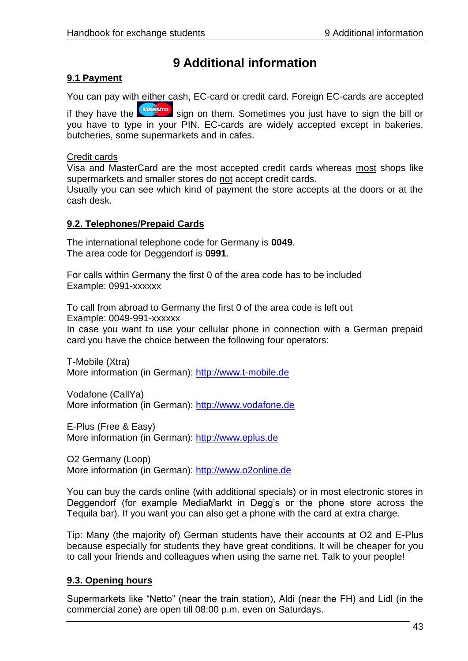# **9 Additional information**

# <span id="page-42-1"></span><span id="page-42-0"></span>**9.1 Payment**

You can pay with either cash, EC-card or credit card. Foreign EC-cards are accepted

if they have the **the sign on them.** Sometimes you just have to sign the bill or you have to type in your PIN. EC-cards are widely accepted except in bakeries, butcheries, some supermarkets and in cafes.

#### Credit cards

Visa and MasterCard are the most accepted credit cards whereas most shops like supermarkets and smaller stores do not accept credit cards.

Usually you can see which kind of payment the store accepts at the doors or at the cash desk.

## <span id="page-42-2"></span>**9.2. Telephones/Prepaid Cards**

The international telephone code for Germany is **0049**. The area code for Deggendorf is **0991**.

For calls within Germany the first 0 of the area code has to be included Example: 0991-xxxxxx

To call from abroad to Germany the first 0 of the area code is left out Example: 0049-991-xxxxxx

In case you want to use your cellular phone in connection with a German prepaid card you have the choice between the following four operators:

T-Mobile (Xtra) More information (in German): [http://www.t-mobile.de](http://www.t-mobile.de/)

Vodafone (CallYa) More information (in German): [http://www.vodafone.de](http://www.vodafone.de/)

E-Plus (Free & Easy) More information (in German): [http://www.eplus.de](http://www.eplus.de/)

O2 Germany (Loop) More information (in German): [http://www.o2online.de](http://www.o2online.de/)

You can buy the cards online (with additional specials) or in most electronic stores in Deggendorf (for example MediaMarkt in Degg's or the phone store across the Tequila bar). If you want you can also get a phone with the card at extra charge.

Tip: Many (the majority of) German students have their accounts at O2 and E-Plus because especially for students they have great conditions. It will be cheaper for you to call your friends and colleagues when using the same net. Talk to your people!

# <span id="page-42-3"></span>**9.3. Opening hours**

Supermarkets like "Netto" (near the train station), Aldi (near the FH) and Lidl (in the commercial zone) are open till 08:00 p.m. even on Saturdays.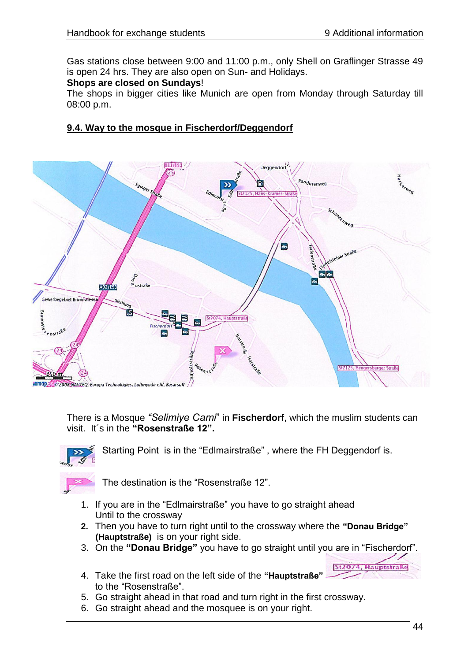Gas stations close between 9:00 and 11:00 p.m., only Shell on Graflinger Strasse 49 is open 24 hrs. They are also open on Sun- and Holidays.

#### **Shops are closed on Sundays**!

The shops in bigger cities like Munich are open from Monday through Saturday till 08:00 p.m.

# **9.4. Way to the mosque in Fischerdorf/Deggendorf**



There is a Mosque *"Selimiye Cami*" in **Fischerdorf**, which the muslim students can visit. It´s in the **"Rosenstraße 12".**



Starting Point is in the "Edlmairstraße" , where the FH Deggendorf is.



The destination is the "Rosenstraße 12".

- 1. If you are in the "Edlmairstraße" you have to go straight ahead Until to the crossway
- **2.** Then you have to turn right until to the crossway where the **"Donau Bridge" (Hauptstraße)** is on your right side.
- 3. On the **"Donau Bridge"** you have to go straight until you are in "Fischerdorf".
- 4. Take the first road on the left side of the **"Hauptstraße"** to the "Rosenstraße".
- 5. Go straight ahead in that road and turn right in the first crossway.
- 6. Go straight ahead and the mosquee is on your right.

Hairntctraße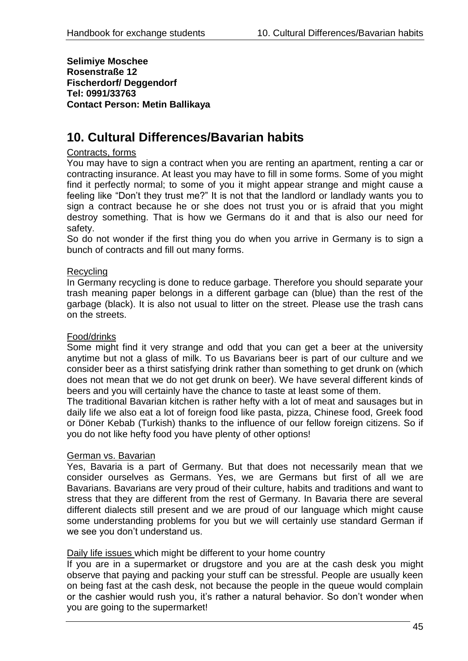**Selimiye Moschee Rosenstraße 12 Fischerdorf/ Deggendorf Tel: 0991/33763 Contact Person: Metin Ballikaya**

# **10. Cultural Differences/Bavarian habits**

#### Contracts, forms

You may have to sign a contract when you are renting an apartment, renting a car or contracting insurance. At least you may have to fill in some forms. Some of you might find it perfectly normal; to some of you it might appear strange and might cause a feeling like "Don"t they trust me?" It is not that the landlord or landlady wants you to sign a contract because he or she does not trust you or is afraid that you might destroy something. That is how we Germans do it and that is also our need for safety.

So do not wonder if the first thing you do when you arrive in Germany is to sign a bunch of contracts and fill out many forms.

#### Recycling

In Germany recycling is done to reduce garbage. Therefore you should separate your trash meaning paper belongs in a different garbage can (blue) than the rest of the garbage (black). It is also not usual to litter on the street. Please use the trash cans on the streets.

#### Food/drinks

Some might find it very strange and odd that you can get a beer at the university anytime but not a glass of milk. To us Bavarians beer is part of our culture and we consider beer as a thirst satisfying drink rather than something to get drunk on (which does not mean that we do not get drunk on beer). We have several different kinds of beers and you will certainly have the chance to taste at least some of them.

The traditional Bavarian kitchen is rather hefty with a lot of meat and sausages but in daily life we also eat a lot of foreign food like pasta, pizza, Chinese food, Greek food or Döner Kebab (Turkish) thanks to the influence of our fellow foreign citizens. So if you do not like hefty food you have plenty of other options!

#### German vs. Bavarian

Yes, Bavaria is a part of Germany. But that does not necessarily mean that we consider ourselves as Germans. Yes, we are Germans but first of all we are Bavarians. Bavarians are very proud of their culture, habits and traditions and want to stress that they are different from the rest of Germany. In Bavaria there are several different dialects still present and we are proud of our language which might cause some understanding problems for you but we will certainly use standard German if we see you don"t understand us.

#### Daily life issues which might be different to your home country

If you are in a supermarket or drugstore and you are at the cash desk you might observe that paying and packing your stuff can be stressful. People are usually keen on being fast at the cash desk, not because the people in the queue would complain or the cashier would rush you, it"s rather a natural behavior. So don"t wonder when you are going to the supermarket!